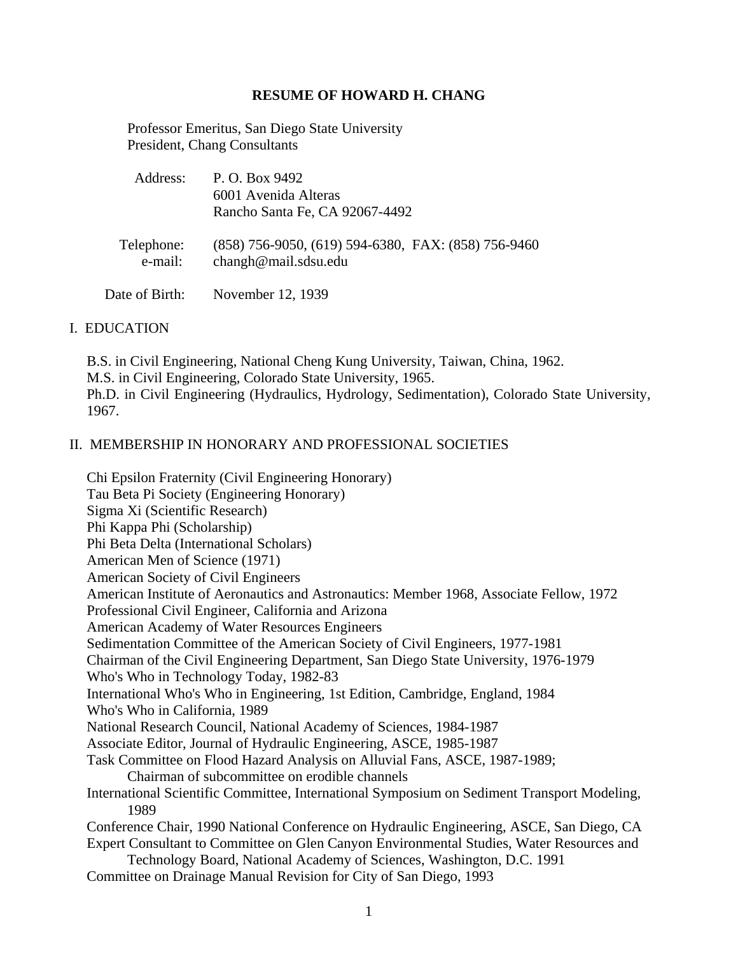#### **RESUME OF HOWARD H. CHANG**

 Professor Emeritus, San Diego State University President, Chang Consultants

| Address:              | P. O. Box 9492<br>6001 Avenida Alteras<br>Rancho Santa Fe, CA 92067-4492      |
|-----------------------|-------------------------------------------------------------------------------|
| Telephone:<br>e-mail: | $(858)$ 756-9050, (619) 594-6380, FAX: (858) 756-9460<br>changh@mail.sdsu.edu |
| Date of Birth:        | November 12, 1939                                                             |

#### I. EDUCATION

B.S. in Civil Engineering, National Cheng Kung University, Taiwan, China, 1962. M.S. in Civil Engineering, Colorado State University, 1965. Ph.D. in Civil Engineering (Hydraulics, Hydrology, Sedimentation), Colorado State University, 1967.

#### II. MEMBERSHIP IN HONORARY AND PROFESSIONAL SOCIETIES

Chi Epsilon Fraternity (Civil Engineering Honorary) Tau Beta Pi Society (Engineering Honorary) Sigma Xi (Scientific Research) Phi Kappa Phi (Scholarship) Phi Beta Delta (International Scholars) American Men of Science (1971) American Society of Civil Engineers American Institute of Aeronautics and Astronautics: Member 1968, Associate Fellow, 1972 Professional Civil Engineer, California and Arizona American Academy of Water Resources Engineers Sedimentation Committee of the American Society of Civil Engineers, 1977-1981 Chairman of the Civil Engineering Department, San Diego State University, 1976-1979 Who's Who in Technology Today, 1982-83 International Who's Who in Engineering, 1st Edition, Cambridge, England, 1984 Who's Who in California, 1989 National Research Council, National Academy of Sciences, 1984-1987 Associate Editor, Journal of Hydraulic Engineering, ASCE, 1985-1987 Task Committee on Flood Hazard Analysis on Alluvial Fans, ASCE, 1987-1989; Chairman of subcommittee on erodible channels International Scientific Committee, International Symposium on Sediment Transport Modeling, 1989 Conference Chair, 1990 National Conference on Hydraulic Engineering, ASCE, San Diego, CA Expert Consultant to Committee on Glen Canyon Environmental Studies, Water Resources and Technology Board, National Academy of Sciences, Washington, D.C. 1991 Committee on Drainage Manual Revision for City of San Diego, 1993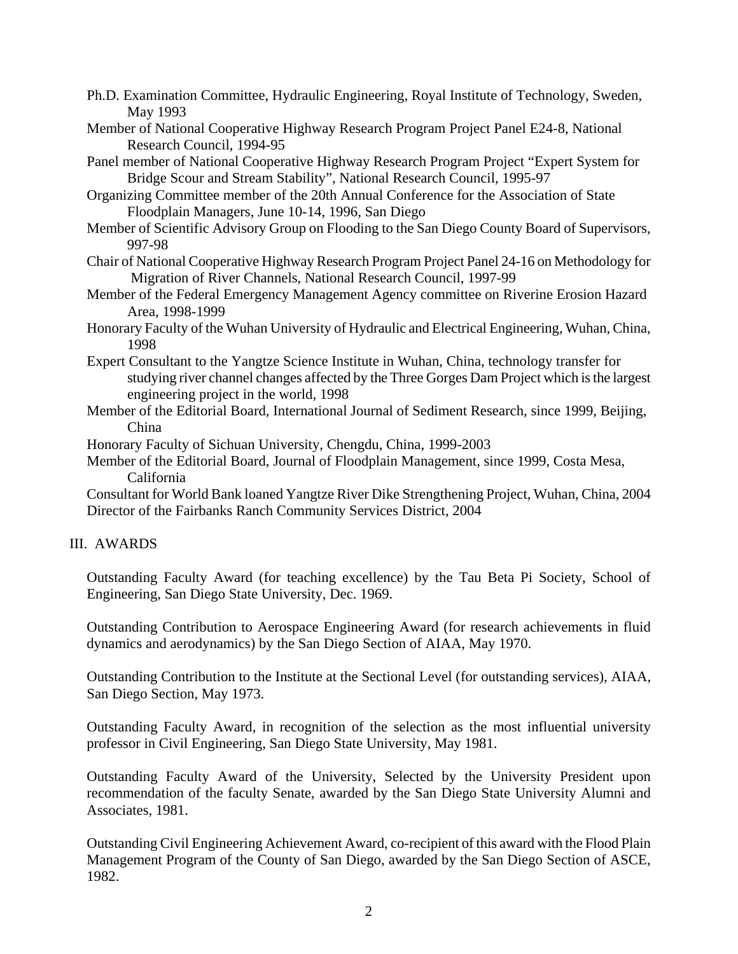- Ph.D. Examination Committee, Hydraulic Engineering, Royal Institute of Technology, Sweden, May 1993
- Member of National Cooperative Highway Research Program Project Panel E24-8, National Research Council, 1994-95
- Panel member of National Cooperative Highway Research Program Project "Expert System for Bridge Scour and Stream Stability", National Research Council, 1995-97
- Organizing Committee member of the 20th Annual Conference for the Association of State Floodplain Managers, June 10-14, 1996, San Diego
- Member of Scientific Advisory Group on Flooding to the San Diego County Board of Supervisors, 997-98
- Chair of National Cooperative Highway Research Program Project Panel 24-16 on Methodology for Migration of River Channels, National Research Council, 1997-99
- Member of the Federal Emergency Management Agency committee on Riverine Erosion Hazard Area, 1998-1999
- Honorary Faculty of the Wuhan University of Hydraulic and Electrical Engineering, Wuhan, China, 1998
- Expert Consultant to the Yangtze Science Institute in Wuhan, China, technology transfer for studying river channel changes affected by the Three Gorges Dam Project which is the largest engineering project in the world, 1998
- Member of the Editorial Board, International Journal of Sediment Research, since 1999, Beijing, China

Honorary Faculty of Sichuan University, Chengdu, China, 1999-2003

Member of the Editorial Board, Journal of Floodplain Management, since 1999, Costa Mesa, California

Consultant for World Bank loaned Yangtze River Dike Strengthening Project, Wuhan, China, 2004 Director of the Fairbanks Ranch Community Services District, 2004

# III. AWARDS

Outstanding Faculty Award (for teaching excellence) by the Tau Beta Pi Society, School of Engineering, San Diego State University, Dec. 1969.

Outstanding Contribution to Aerospace Engineering Award (for research achievements in fluid dynamics and aerodynamics) by the San Diego Section of AIAA, May 1970.

Outstanding Contribution to the Institute at the Sectional Level (for outstanding services), AIAA, San Diego Section, May 1973.

Outstanding Faculty Award, in recognition of the selection as the most influential university professor in Civil Engineering, San Diego State University, May 1981.

Outstanding Faculty Award of the University, Selected by the University President upon recommendation of the faculty Senate, awarded by the San Diego State University Alumni and Associates, 1981.

Outstanding Civil Engineering Achievement Award, co-recipient of this award with the Flood Plain Management Program of the County of San Diego, awarded by the San Diego Section of ASCE, 1982.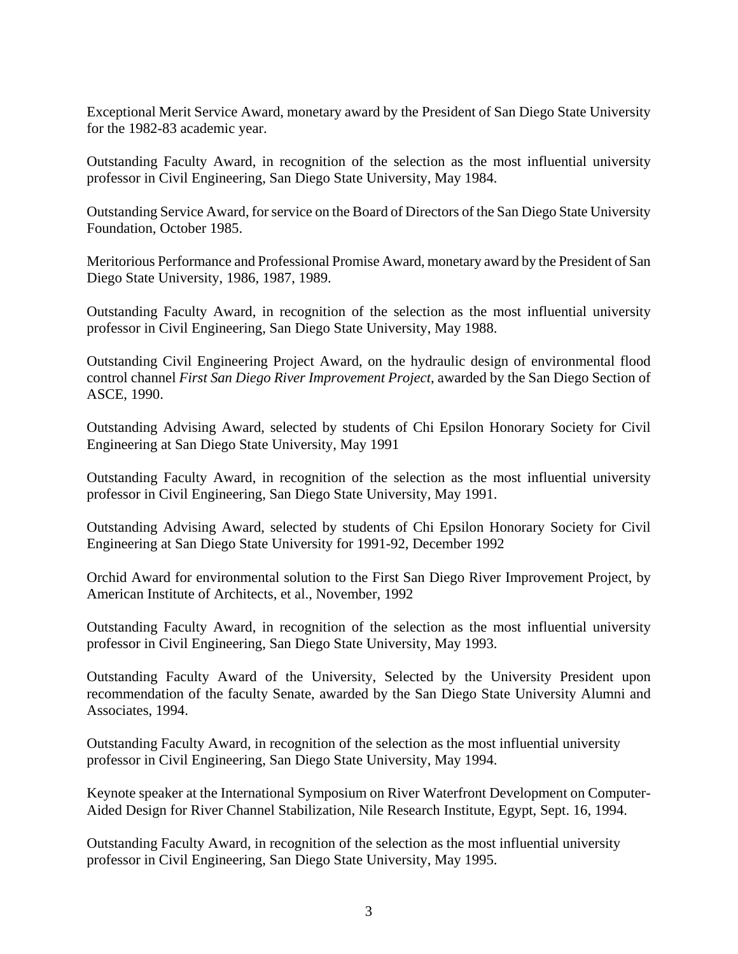Exceptional Merit Service Award, monetary award by the President of San Diego State University for the 1982-83 academic year.

Outstanding Faculty Award, in recognition of the selection as the most influential university professor in Civil Engineering, San Diego State University, May 1984.

Outstanding Service Award, for service on the Board of Directors of the San Diego State University Foundation, October 1985.

Meritorious Performance and Professional Promise Award, monetary award by the President of San Diego State University, 1986, 1987, 1989.

Outstanding Faculty Award, in recognition of the selection as the most influential university professor in Civil Engineering, San Diego State University, May 1988.

Outstanding Civil Engineering Project Award, on the hydraulic design of environmental flood control channel *First San Diego River Improvement Project*, awarded by the San Diego Section of ASCE, 1990.

Outstanding Advising Award, selected by students of Chi Epsilon Honorary Society for Civil Engineering at San Diego State University, May 1991

Outstanding Faculty Award, in recognition of the selection as the most influential university professor in Civil Engineering, San Diego State University, May 1991.

Outstanding Advising Award, selected by students of Chi Epsilon Honorary Society for Civil Engineering at San Diego State University for 1991-92, December 1992

Orchid Award for environmental solution to the First San Diego River Improvement Project, by American Institute of Architects, et al., November, 1992

Outstanding Faculty Award, in recognition of the selection as the most influential university professor in Civil Engineering, San Diego State University, May 1993.

Outstanding Faculty Award of the University, Selected by the University President upon recommendation of the faculty Senate, awarded by the San Diego State University Alumni and Associates, 1994.

Outstanding Faculty Award, in recognition of the selection as the most influential university professor in Civil Engineering, San Diego State University, May 1994.

Keynote speaker at the International Symposium on River Waterfront Development on Computer-Aided Design for River Channel Stabilization, Nile Research Institute, Egypt, Sept. 16, 1994.

Outstanding Faculty Award, in recognition of the selection as the most influential university professor in Civil Engineering, San Diego State University, May 1995.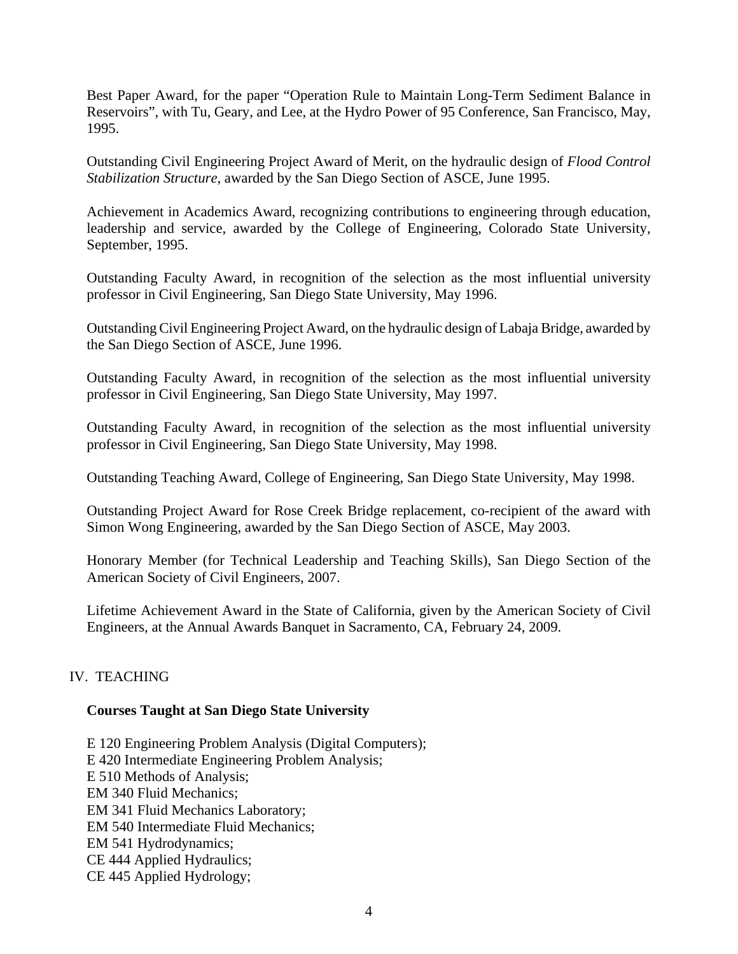Best Paper Award, for the paper "Operation Rule to Maintain Long-Term Sediment Balance in Reservoirs", with Tu, Geary, and Lee, at the Hydro Power of 95 Conference, San Francisco, May, 1995.

Outstanding Civil Engineering Project Award of Merit, on the hydraulic design of *Flood Control Stabilization Structure*, awarded by the San Diego Section of ASCE, June 1995.

Achievement in Academics Award, recognizing contributions to engineering through education, leadership and service, awarded by the College of Engineering, Colorado State University, September, 1995.

Outstanding Faculty Award, in recognition of the selection as the most influential university professor in Civil Engineering, San Diego State University, May 1996.

Outstanding Civil Engineering Project Award, on the hydraulic design of Labaja Bridge, awarded by the San Diego Section of ASCE, June 1996.

Outstanding Faculty Award, in recognition of the selection as the most influential university professor in Civil Engineering, San Diego State University, May 1997.

Outstanding Faculty Award, in recognition of the selection as the most influential university professor in Civil Engineering, San Diego State University, May 1998.

Outstanding Teaching Award, College of Engineering, San Diego State University, May 1998.

Outstanding Project Award for Rose Creek Bridge replacement, co-recipient of the award with Simon Wong Engineering, awarded by the San Diego Section of ASCE, May 2003.

Honorary Member (for Technical Leadership and Teaching Skills), San Diego Section of the American Society of Civil Engineers, 2007.

Lifetime Achievement Award in the State of California, given by the American Society of Civil Engineers, at the Annual Awards Banquet in Sacramento, CA, February 24, 2009.

### IV. TEACHING

### **Courses Taught at San Diego State University**

E 120 Engineering Problem Analysis (Digital Computers); E 420 Intermediate Engineering Problem Analysis; E 510 Methods of Analysis; EM 340 Fluid Mechanics; EM 341 Fluid Mechanics Laboratory; EM 540 Intermediate Fluid Mechanics; EM 541 Hydrodynamics; CE 444 Applied Hydraulics; CE 445 Applied Hydrology;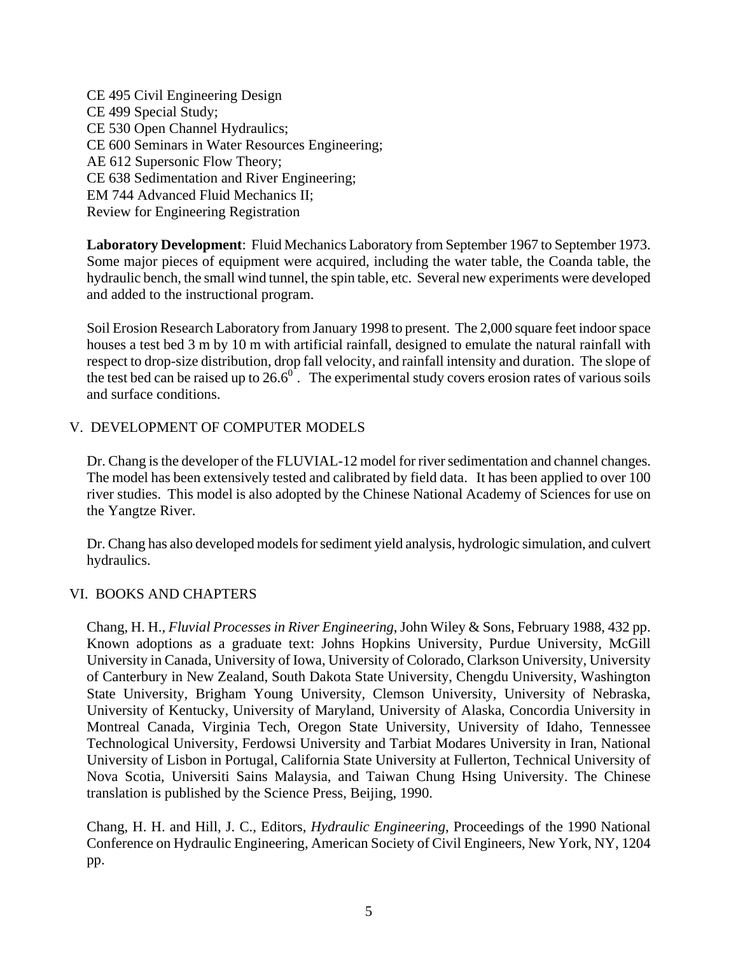CE 495 Civil Engineering Design CE 499 Special Study; CE 530 Open Channel Hydraulics; CE 600 Seminars in Water Resources Engineering; AE 612 Supersonic Flow Theory; CE 638 Sedimentation and River Engineering; EM 744 Advanced Fluid Mechanics II; Review for Engineering Registration

**Laboratory Development**: Fluid Mechanics Laboratory from September 1967 to September 1973. Some major pieces of equipment were acquired, including the water table, the Coanda table, the hydraulic bench, the small wind tunnel, the spin table, etc. Several new experiments were developed and added to the instructional program.

Soil Erosion Research Laboratory from January 1998 to present. The 2,000 square feet indoor space houses a test bed 3 m by 10 m with artificial rainfall, designed to emulate the natural rainfall with respect to drop-size distribution, drop fall velocity, and rainfall intensity and duration. The slope of the test bed can be raised up to  $26.6^\circ$ . The experimental study covers erosion rates of various soils and surface conditions.

# V. DEVELOPMENT OF COMPUTER MODELS

Dr. Chang is the developer of the FLUVIAL-12 model for river sedimentation and channel changes. The model has been extensively tested and calibrated by field data. It has been applied to over 100 river studies. This model is also adopted by the Chinese National Academy of Sciences for use on the Yangtze River.

Dr. Chang has also developed models for sediment yield analysis, hydrologic simulation, and culvert hydraulics.

### VI. BOOKS AND CHAPTERS

Chang, H. H., *Fluvial Processes in River Engineering*, John Wiley & Sons, February 1988, 432 pp. Known adoptions as a graduate text: Johns Hopkins University, Purdue University, McGill University in Canada, University of Iowa, University of Colorado, Clarkson University, University of Canterbury in New Zealand, South Dakota State University, Chengdu University, Washington State University, Brigham Young University, Clemson University, University of Nebraska, University of Kentucky, University of Maryland, University of Alaska, Concordia University in Montreal Canada, Virginia Tech, Oregon State University, University of Idaho, Tennessee Technological University, Ferdowsi University and Tarbiat Modares University in Iran, National University of Lisbon in Portugal, California State University at Fullerton, Technical University of Nova Scotia, Universiti Sains Malaysia, and Taiwan Chung Hsing University. The Chinese translation is published by the Science Press, Beijing, 1990.

Chang, H. H. and Hill, J. C., Editors, *Hydraulic Engineering*, Proceedings of the 1990 National Conference on Hydraulic Engineering, American Society of Civil Engineers, New York, NY, 1204 pp.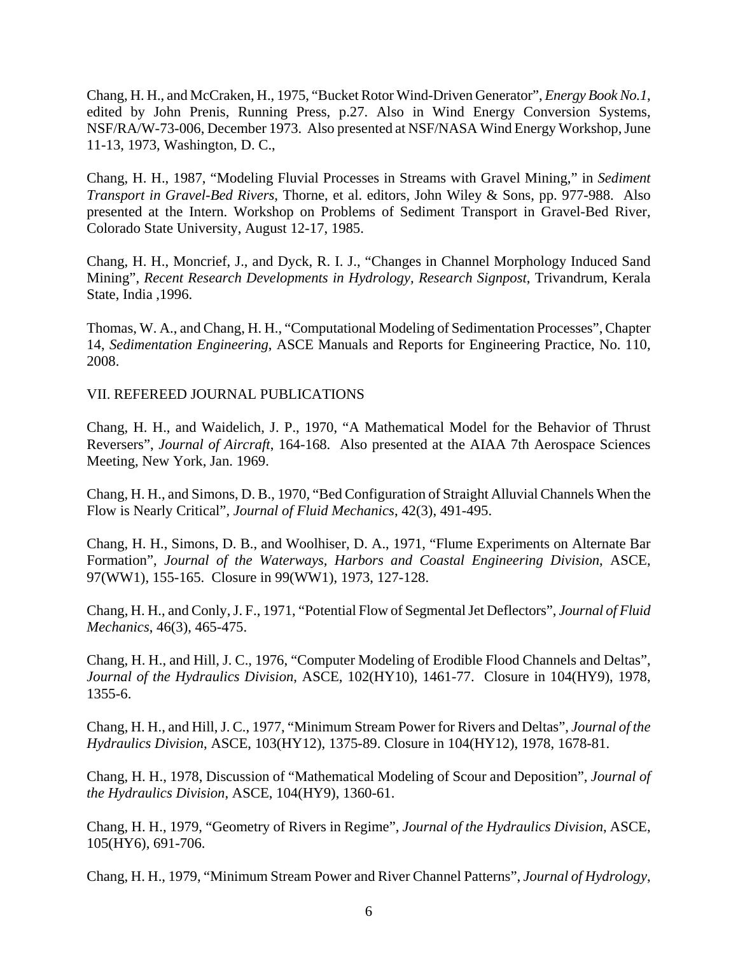Chang, H. H., and McCraken, H., 1975, "Bucket Rotor Wind-Driven Generator", *Energy Book No.1*, edited by John Prenis, Running Press, p.27. Also in Wind Energy Conversion Systems, NSF/RA/W-73-006, December 1973. Also presented at NSF/NASA Wind Energy Workshop, June 11-13, 1973, Washington, D. C.,

Chang, H. H., 1987, "Modeling Fluvial Processes in Streams with Gravel Mining," in *Sediment Transport in Gravel-Bed Rivers*, Thorne, et al. editors, John Wiley & Sons, pp. 977-988. Also presented at the Intern. Workshop on Problems of Sediment Transport in Gravel-Bed River, Colorado State University, August 12-17, 1985.

Chang, H. H., Moncrief, J., and Dyck, R. I. J., "Changes in Channel Morphology Induced Sand Mining", *Recent Research Developments in Hydrology, Research Signpost*, Trivandrum, Kerala State, India ,1996.

Thomas, W. A., and Chang, H. H., "Computational Modeling of Sedimentation Processes", Chapter 14, *Sedimentation Engineering*, ASCE Manuals and Reports for Engineering Practice, No. 110, 2008.

VII. REFEREED JOURNAL PUBLICATIONS

Chang, H. H., and Waidelich, J. P., 1970, "A Mathematical Model for the Behavior of Thrust Reversers", *Journal of Aircraft*, 164-168. Also presented at the AIAA 7th Aerospace Sciences Meeting, New York, Jan. 1969.

Chang, H. H., and Simons, D. B., 1970, "Bed Configuration of Straight Alluvial Channels When the Flow is Nearly Critical", *Journal of Fluid Mechanics*, 42(3), 491-495.

Chang, H. H., Simons, D. B., and Woolhiser, D. A., 1971, "Flume Experiments on Alternate Bar Formation", *Journal of the Waterways, Harbors and Coastal Engineering Division*, ASCE, 97(WW1), 155-165. Closure in 99(WW1), 1973, 127-128.

Chang, H. H., and Conly, J. F., 1971, "Potential Flow of Segmental Jet Deflectors", *Journal of Fluid Mechanics*, 46(3), 465-475.

Chang, H. H., and Hill, J. C., 1976, "Computer Modeling of Erodible Flood Channels and Deltas", *Journal of the Hydraulics Division*, ASCE, 102(HY10), 1461-77. Closure in 104(HY9), 1978, 1355-6.

Chang, H. H., and Hill, J. C., 1977, "Minimum Stream Power for Rivers and Deltas", *Journal of the Hydraulics Division*, ASCE, 103(HY12), 1375-89. Closure in 104(HY12), 1978, 1678-81.

Chang, H. H., 1978, Discussion of "Mathematical Modeling of Scour and Deposition", *Journal of the Hydraulics Division*, ASCE, 104(HY9), 1360-61.

Chang, H. H., 1979, "Geometry of Rivers in Regime", *Journal of the Hydraulics Division*, ASCE, 105(HY6), 691-706.

Chang, H. H., 1979, "Minimum Stream Power and River Channel Patterns", *Journal of Hydrology*,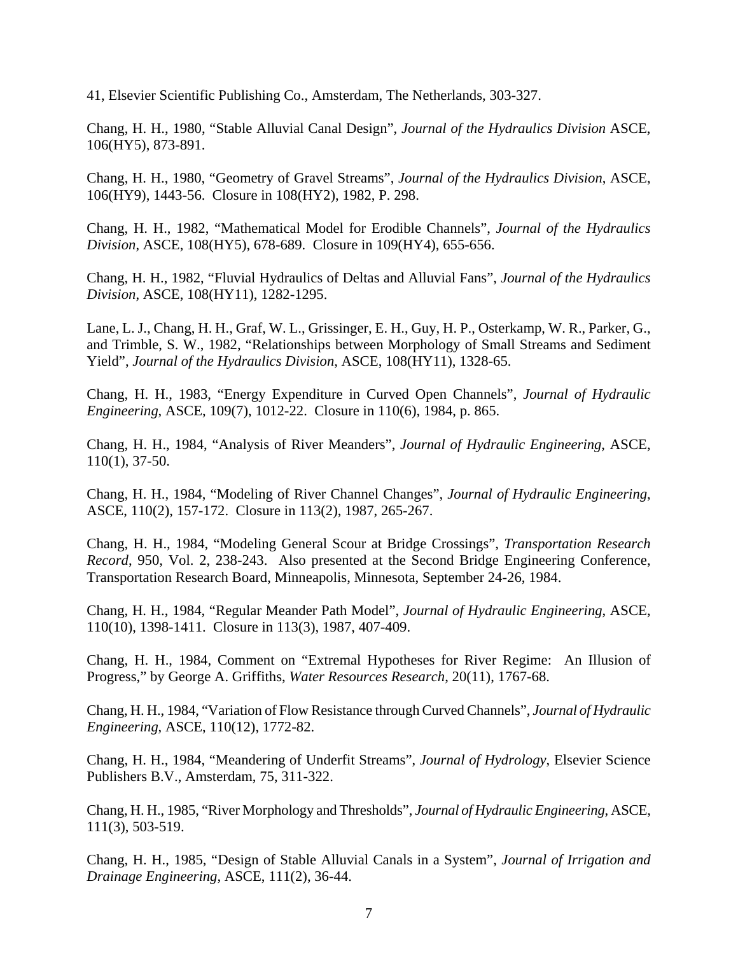41, Elsevier Scientific Publishing Co., Amsterdam, The Netherlands, 303-327.

Chang, H. H., 1980, "Stable Alluvial Canal Design", *Journal of the Hydraulics Division* ASCE, 106(HY5), 873-891.

Chang, H. H., 1980, "Geometry of Gravel Streams", *Journal of the Hydraulics Division*, ASCE, 106(HY9), 1443-56. Closure in 108(HY2), 1982, P. 298.

Chang, H. H., 1982, "Mathematical Model for Erodible Channels", *Journal of the Hydraulics Division*, ASCE, 108(HY5), 678-689. Closure in 109(HY4), 655-656.

Chang, H. H., 1982, "Fluvial Hydraulics of Deltas and Alluvial Fans", *Journal of the Hydraulics Division*, ASCE, 108(HY11), 1282-1295.

Lane, L. J., Chang, H. H., Graf, W. L., Grissinger, E. H., Guy, H. P., Osterkamp, W. R., Parker, G., and Trimble, S. W., 1982, "Relationships between Morphology of Small Streams and Sediment Yield", *Journal of the Hydraulics Division*, ASCE, 108(HY11), 1328-65.

Chang, H. H., 1983, "Energy Expenditure in Curved Open Channels", *Journal of Hydraulic Engineering*, ASCE, 109(7), 1012-22. Closure in 110(6), 1984, p. 865.

Chang, H. H., 1984, "Analysis of River Meanders", *Journal of Hydraulic Engineering*, ASCE, 110(1), 37-50.

Chang, H. H., 1984, "Modeling of River Channel Changes", *Journal of Hydraulic Engineering*, ASCE, 110(2), 157-172. Closure in 113(2), 1987, 265-267.

Chang, H. H., 1984, "Modeling General Scour at Bridge Crossings", *Transportation Research Record*, 950, Vol. 2, 238-243. Also presented at the Second Bridge Engineering Conference, Transportation Research Board, Minneapolis, Minnesota, September 24-26, 1984.

Chang, H. H., 1984, "Regular Meander Path Model", *Journal of Hydraulic Engineering*, ASCE, 110(10), 1398-1411. Closure in 113(3), 1987, 407-409.

Chang, H. H., 1984, Comment on "Extremal Hypotheses for River Regime: An Illusion of Progress," by George A. Griffiths, *Water Resources Research*, 20(11), 1767-68.

Chang, H. H., 1984, "Variation of Flow Resistance through Curved Channels", *Journal of Hydraulic Engineering*, ASCE, 110(12), 1772-82.

Chang, H. H., 1984, "Meandering of Underfit Streams", *Journal of Hydrology*, Elsevier Science Publishers B.V., Amsterdam, 75, 311-322.

Chang, H. H., 1985, "River Morphology and Thresholds", *Journal of Hydraulic Engineering*, ASCE, 111(3), 503-519.

Chang, H. H., 1985, "Design of Stable Alluvial Canals in a System", *Journal of Irrigation and Drainage Engineering*, ASCE, 111(2), 36-44.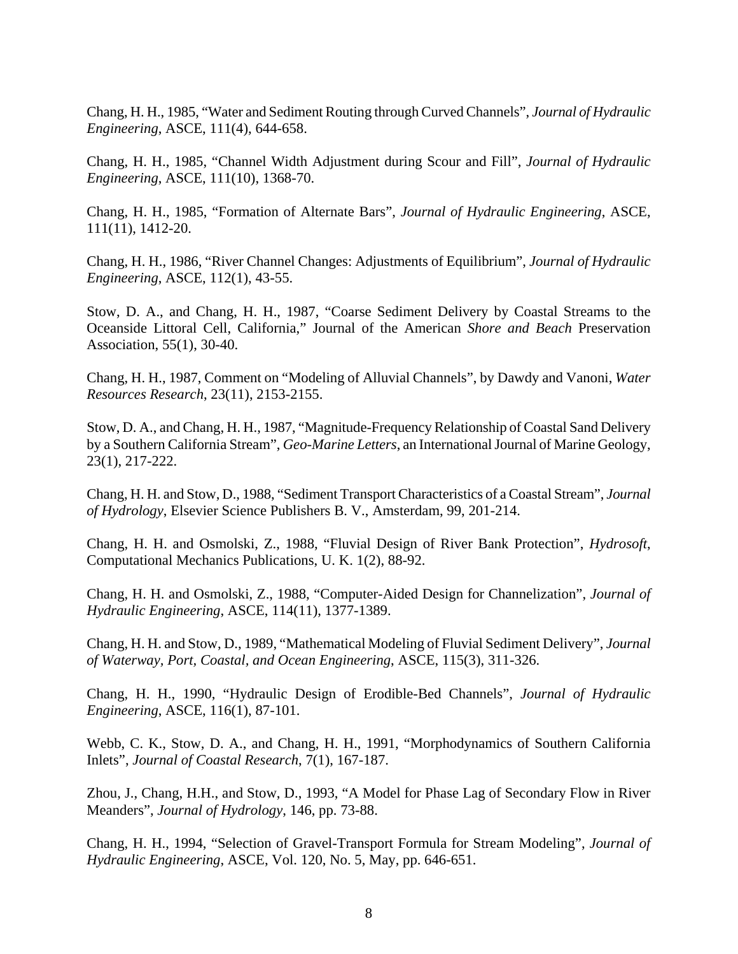Chang, H. H., 1985, "Water and Sediment Routing through Curved Channels", *Journal of Hydraulic Engineering*, ASCE, 111(4), 644-658.

Chang, H. H., 1985, "Channel Width Adjustment during Scour and Fill", *Journal of Hydraulic Engineering*, ASCE, 111(10), 1368-70.

Chang, H. H., 1985, "Formation of Alternate Bars", *Journal of Hydraulic Engineering*, ASCE, 111(11), 1412-20.

Chang, H. H., 1986, "River Channel Changes: Adjustments of Equilibrium", *Journal of Hydraulic Engineering*, ASCE, 112(1), 43-55.

Stow, D. A., and Chang, H. H., 1987, "Coarse Sediment Delivery by Coastal Streams to the Oceanside Littoral Cell, California," Journal of the American *Shore and Beach* Preservation Association, 55(1), 30-40.

Chang, H. H., 1987, Comment on "Modeling of Alluvial Channels", by Dawdy and Vanoni, *Water Resources Research*, 23(11), 2153-2155.

Stow, D. A., and Chang, H. H., 1987, "Magnitude-Frequency Relationship of Coastal Sand Delivery by a Southern California Stream", *Geo-Marine Letters*, an International Journal of Marine Geology, 23(1), 217-222.

Chang, H. H. and Stow, D., 1988, "Sediment Transport Characteristics of a Coastal Stream", *Journal of Hydrology*, Elsevier Science Publishers B. V., Amsterdam, 99, 201-214.

Chang, H. H. and Osmolski, Z., 1988, "Fluvial Design of River Bank Protection", *Hydrosoft*, Computational Mechanics Publications, U. K. 1(2), 88-92.

Chang, H. H. and Osmolski, Z., 1988, "Computer-Aided Design for Channelization", *Journal of Hydraulic Engineering*, ASCE, 114(11), 1377-1389.

Chang, H. H. and Stow, D., 1989, "Mathematical Modeling of Fluvial Sediment Delivery", *Journal of Waterway, Port, Coastal, and Ocean Engineering*, ASCE, 115(3), 311-326.

Chang, H. H., 1990, "Hydraulic Design of Erodible-Bed Channels", *Journal of Hydraulic Engineering*, ASCE, 116(1), 87-101.

Webb, C. K., Stow, D. A., and Chang, H. H., 1991, "Morphodynamics of Southern California Inlets", *Journal of Coastal Research*, 7(1), 167-187.

Zhou, J., Chang, H.H., and Stow, D., 1993, "A Model for Phase Lag of Secondary Flow in River Meanders", *Journal of Hydrology*, 146, pp. 73-88.

Chang, H. H., 1994, "Selection of Gravel-Transport Formula for Stream Modeling", *Journal of Hydraulic Engineering*, ASCE, Vol. 120, No. 5, May, pp. 646-651.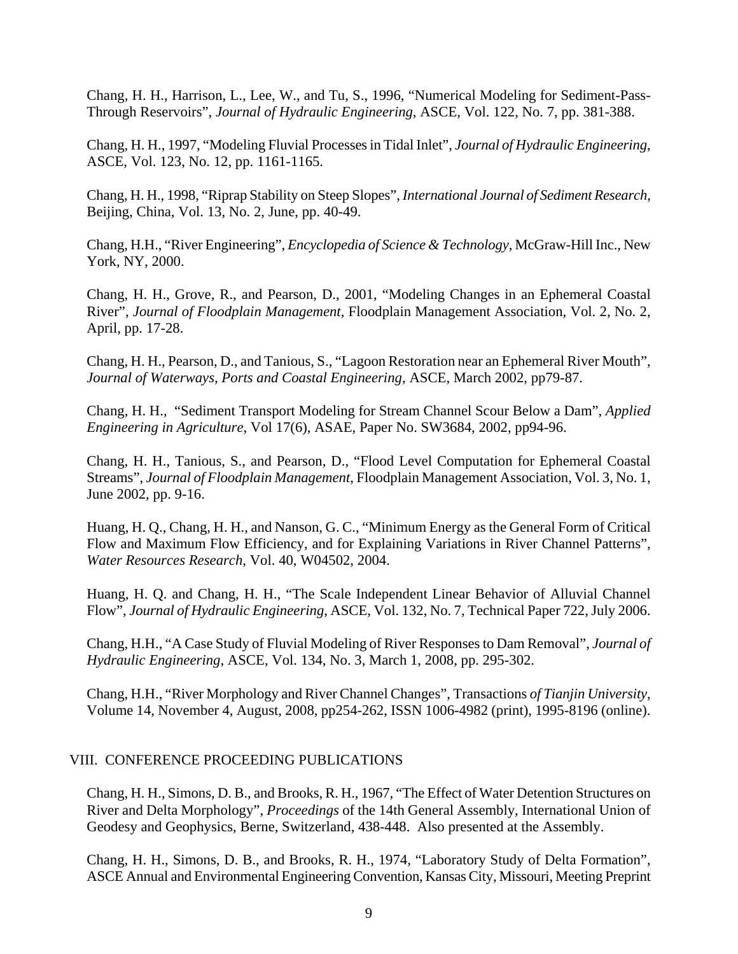Chang, H. H., Harrison, L., Lee, W., and Tu, S., 1996, "Numerical Modeling for Sediment-Pass-Through Reservoirs", *Journal of Hydraulic Engineering*, ASCE, Vol. 122, No. 7, pp. 381-388.

Chang, H. H., 1997, "Modeling Fluvial Processes in Tidal Inlet", *Journal of Hydraulic Engineering*, ASCE, Vol. 123, No. 12, pp. 1161-1165.

Chang, H. H., 1998, "Riprap Stability on Steep Slopes", *International Journal of Sediment Research*, Beijing, China, Vol. 13, No. 2, June, pp. 40-49.

Chang, H.H., "River Engineering", *Encyclopedia of Science & Technology*, McGraw-Hill Inc., New York, NY, 2000.

Chang, H. H., Grove, R., and Pearson, D., 2001, "Modeling Changes in an Ephemeral Coastal River", *Journal of Floodplain Management*, Floodplain Management Association, Vol. 2, No. 2, April, pp. 17-28.

Chang, H. H., Pearson, D., and Tanious, S., "Lagoon Restoration near an Ephemeral River Mouth", *Journal of Waterways, Ports and Coastal Engineering*, ASCE, March 2002, pp79-87.

Chang, H. H., "Sediment Transport Modeling for Stream Channel Scour Below a Dam", *Applied Engineering in Agriculture*, Vol 17(6), ASAE, Paper No. SW3684, 2002, pp94-96.

Chang, H. H., Tanious, S., and Pearson, D., "Flood Level Computation for Ephemeral Coastal Streams", *Journal of Floodplain Management*, Floodplain Management Association, Vol. 3, No. 1, June 2002, pp. 9-16.

Huang, H. Q., Chang, H. H., and Nanson, G. C., "Minimum Energy as the General Form of Critical Flow and Maximum Flow Efficiency, and for Explaining Variations in River Channel Patterns", *Water Resources Research*, Vol. 40, W04502, 2004.

Huang, H. Q. and Chang, H. H., "The Scale Independent Linear Behavior of Alluvial Channel Flow", *Journal of Hydraulic Engineering*, ASCE, Vol. 132, No. 7, Technical Paper 722, July 2006.

Chang, H.H., "A Case Study of Fluvial Modeling of River Responses to Dam Removal", *Journal of Hydraulic Engineering*, ASCE, Vol. 134, No. 3, March 1, 2008, pp. 295-302.

Chang, H.H., "River Morphology and River Channel Changes", Transactions *of Tianjin University*, Volume 14, November 4, August, 2008, pp254-262, ISSN 1006-4982 (print), 1995-8196 (online).

### VIII. CONFERENCE PROCEEDING PUBLICATIONS

Chang, H. H., Simons, D. B., and Brooks, R. H., 1967, "The Effect of Water Detention Structures on River and Delta Morphology", *Proceedings* of the 14th General Assembly, International Union of Geodesy and Geophysics, Berne, Switzerland, 438-448. Also presented at the Assembly.

Chang, H. H., Simons, D. B., and Brooks, R. H., 1974, "Laboratory Study of Delta Formation", ASCE Annual and Environmental Engineering Convention, Kansas City, Missouri, Meeting Preprint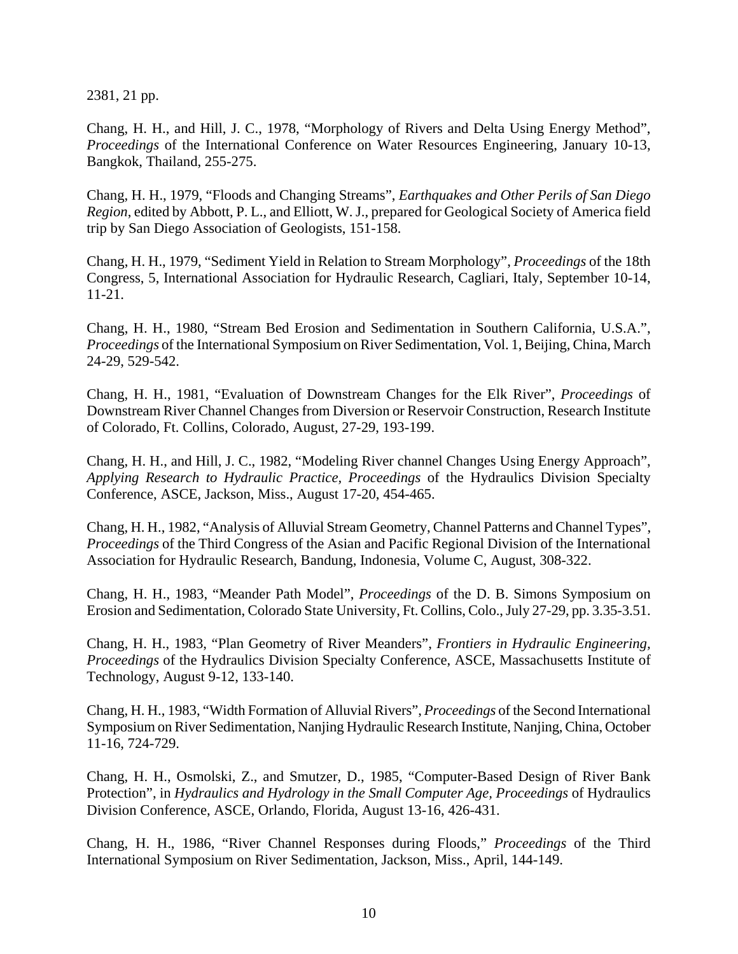2381, 21 pp.

Chang, H. H., and Hill, J. C., 1978, "Morphology of Rivers and Delta Using Energy Method", *Proceedings* of the International Conference on Water Resources Engineering, January 10-13, Bangkok, Thailand, 255-275.

Chang, H. H., 1979, "Floods and Changing Streams", *Earthquakes and Other Perils of San Diego Region*, edited by Abbott, P. L., and Elliott, W. J., prepared for Geological Society of America field trip by San Diego Association of Geologists, 151-158.

Chang, H. H., 1979, "Sediment Yield in Relation to Stream Morphology", *Proceedings* of the 18th Congress, 5, International Association for Hydraulic Research, Cagliari, Italy, September 10-14, 11-21.

Chang, H. H., 1980, "Stream Bed Erosion and Sedimentation in Southern California, U.S.A.", *Proceedings* of the International Symposium on River Sedimentation, Vol. 1, Beijing, China, March 24-29, 529-542.

Chang, H. H., 1981, "Evaluation of Downstream Changes for the Elk River", *Proceedings* of Downstream River Channel Changes from Diversion or Reservoir Construction, Research Institute of Colorado, Ft. Collins, Colorado, August, 27-29, 193-199.

Chang, H. H., and Hill, J. C., 1982, "Modeling River channel Changes Using Energy Approach", *Applying Research to Hydraulic Practice, Proceedings* of the Hydraulics Division Specialty Conference, ASCE, Jackson, Miss., August 17-20, 454-465.

Chang, H. H., 1982, "Analysis of Alluvial Stream Geometry, Channel Patterns and Channel Types", *Proceedings* of the Third Congress of the Asian and Pacific Regional Division of the International Association for Hydraulic Research, Bandung, Indonesia, Volume C, August, 308-322.

Chang, H. H., 1983, "Meander Path Model", *Proceedings* of the D. B. Simons Symposium on Erosion and Sedimentation, Colorado State University, Ft. Collins, Colo., July 27-29, pp. 3.35-3.51.

Chang, H. H., 1983, "Plan Geometry of River Meanders", *Frontiers in Hydraulic Engineering, Proceedings* of the Hydraulics Division Specialty Conference, ASCE, Massachusetts Institute of Technology, August 9-12, 133-140.

Chang, H. H., 1983, "Width Formation of Alluvial Rivers", *Proceedings* of the Second International Symposium on River Sedimentation, Nanjing Hydraulic Research Institute, Nanjing, China, October 11-16, 724-729.

Chang, H. H., Osmolski, Z., and Smutzer, D., 1985, "Computer-Based Design of River Bank Protection", in *Hydraulics and Hydrology in the Small Computer Age, Proceedings* of Hydraulics Division Conference, ASCE, Orlando, Florida, August 13-16, 426-431.

Chang, H. H., 1986, "River Channel Responses during Floods," *Proceedings* of the Third International Symposium on River Sedimentation, Jackson, Miss., April, 144-149.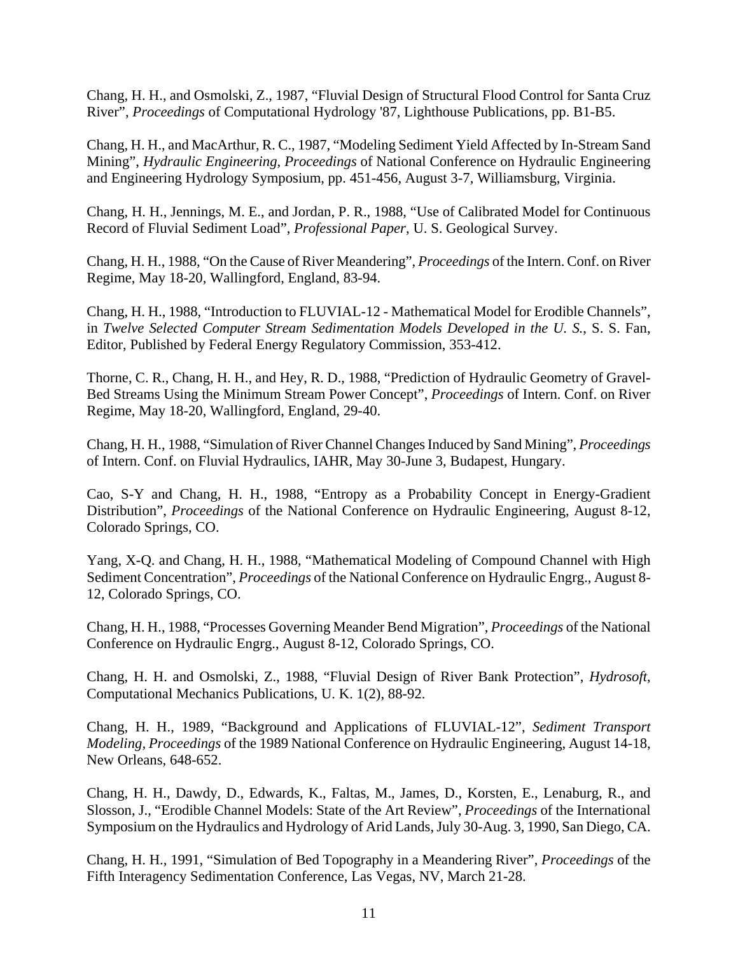Chang, H. H., and Osmolski, Z., 1987, "Fluvial Design of Structural Flood Control for Santa Cruz River", *Proceedings* of Computational Hydrology '87, Lighthouse Publications, pp. B1-B5.

Chang, H. H., and MacArthur, R. C., 1987, "Modeling Sediment Yield Affected by In-Stream Sand Mining", *Hydraulic Engineering, Proceedings* of National Conference on Hydraulic Engineering and Engineering Hydrology Symposium, pp. 451-456, August 3-7, Williamsburg, Virginia.

Chang, H. H., Jennings, M. E., and Jordan, P. R., 1988, "Use of Calibrated Model for Continuous Record of Fluvial Sediment Load", *Professional Paper*, U. S. Geological Survey.

Chang, H. H., 1988, "On the Cause of River Meandering", *Proceedings* of the Intern. Conf. on River Regime, May 18-20, Wallingford, England, 83-94.

Chang, H. H., 1988, "Introduction to FLUVIAL-12 - Mathematical Model for Erodible Channels", in *Twelve Selected Computer Stream Sedimentation Models Developed in the U. S.*, S. S. Fan, Editor, Published by Federal Energy Regulatory Commission, 353-412.

Thorne, C. R., Chang, H. H., and Hey, R. D., 1988, "Prediction of Hydraulic Geometry of Gravel-Bed Streams Using the Minimum Stream Power Concept", *Proceedings* of Intern. Conf. on River Regime, May 18-20, Wallingford, England, 29-40.

Chang, H. H., 1988, "Simulation of River Channel Changes Induced by Sand Mining", *Proceedings* of Intern. Conf. on Fluvial Hydraulics, IAHR, May 30-June 3, Budapest, Hungary.

Cao, S-Y and Chang, H. H., 1988, "Entropy as a Probability Concept in Energy-Gradient Distribution", *Proceedings* of the National Conference on Hydraulic Engineering, August 8-12, Colorado Springs, CO.

Yang, X-Q. and Chang, H. H., 1988, "Mathematical Modeling of Compound Channel with High Sediment Concentration", *Proceedings* of the National Conference on Hydraulic Engrg., August 8- 12, Colorado Springs, CO.

Chang, H. H., 1988, "Processes Governing Meander Bend Migration", *Proceedings* of the National Conference on Hydraulic Engrg., August 8-12, Colorado Springs, CO.

Chang, H. H. and Osmolski, Z., 1988, "Fluvial Design of River Bank Protection", *Hydrosoft*, Computational Mechanics Publications, U. K. 1(2), 88-92.

Chang, H. H., 1989, "Background and Applications of FLUVIAL-12", *Sediment Transport Modeling, Proceedings* of the 1989 National Conference on Hydraulic Engineering, August 14-18, New Orleans, 648-652.

Chang, H. H., Dawdy, D., Edwards, K., Faltas, M., James, D., Korsten, E., Lenaburg, R., and Slosson, J., "Erodible Channel Models: State of the Art Review", *Proceedings* of the International Symposium on the Hydraulics and Hydrology of Arid Lands, July 30-Aug. 3, 1990, San Diego, CA.

Chang, H. H., 1991, "Simulation of Bed Topography in a Meandering River", *Proceedings* of the Fifth Interagency Sedimentation Conference, Las Vegas, NV, March 21-28.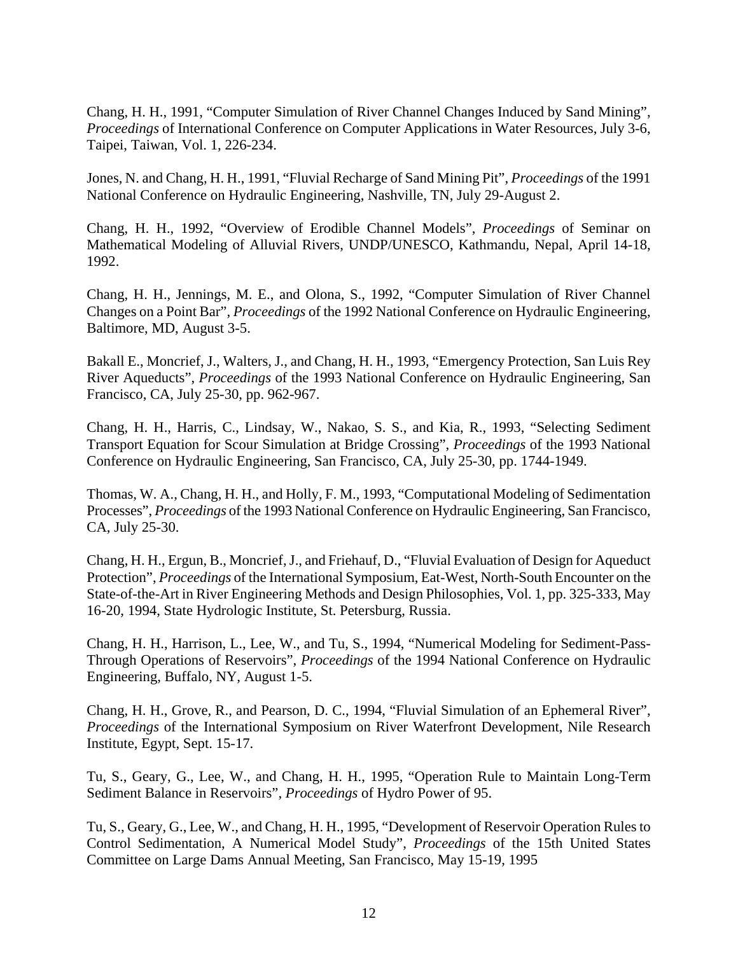Chang, H. H., 1991, "Computer Simulation of River Channel Changes Induced by Sand Mining", *Proceedings* of International Conference on Computer Applications in Water Resources, July 3-6, Taipei, Taiwan, Vol. 1, 226-234.

Jones, N. and Chang, H. H., 1991, "Fluvial Recharge of Sand Mining Pit", *Proceedings* of the 1991 National Conference on Hydraulic Engineering, Nashville, TN, July 29-August 2.

Chang, H. H., 1992, "Overview of Erodible Channel Models", *Proceedings* of Seminar on Mathematical Modeling of Alluvial Rivers, UNDP/UNESCO, Kathmandu, Nepal, April 14-18, 1992.

Chang, H. H., Jennings, M. E., and Olona, S., 1992, "Computer Simulation of River Channel Changes on a Point Bar", *Proceedings* of the 1992 National Conference on Hydraulic Engineering, Baltimore, MD, August 3-5.

Bakall E., Moncrief, J., Walters, J., and Chang, H. H., 1993, "Emergency Protection, San Luis Rey River Aqueducts", *Proceedings* of the 1993 National Conference on Hydraulic Engineering, San Francisco, CA, July 25-30, pp. 962-967.

Chang, H. H., Harris, C., Lindsay, W., Nakao, S. S., and Kia, R., 1993, "Selecting Sediment Transport Equation for Scour Simulation at Bridge Crossing", *Proceedings* of the 1993 National Conference on Hydraulic Engineering, San Francisco, CA, July 25-30, pp. 1744-1949.

Thomas, W. A., Chang, H. H., and Holly, F. M., 1993, "Computational Modeling of Sedimentation Processes", *Proceedings* of the 1993 National Conference on Hydraulic Engineering, San Francisco, CA, July 25-30.

Chang, H. H., Ergun, B., Moncrief, J., and Friehauf, D., "Fluvial Evaluation of Design for Aqueduct Protection", *Proceedings* of the International Symposium, Eat-West, North-South Encounter on the State-of-the-Art in River Engineering Methods and Design Philosophies, Vol. 1, pp. 325-333, May 16-20, 1994, State Hydrologic Institute, St. Petersburg, Russia.

Chang, H. H., Harrison, L., Lee, W., and Tu, S., 1994, "Numerical Modeling for Sediment-Pass-Through Operations of Reservoirs", *Proceedings* of the 1994 National Conference on Hydraulic Engineering, Buffalo, NY, August 1-5.

Chang, H. H., Grove, R., and Pearson, D. C., 1994, "Fluvial Simulation of an Ephemeral River", *Proceedings* of the International Symposium on River Waterfront Development, Nile Research Institute, Egypt, Sept. 15-17.

Tu, S., Geary, G., Lee, W., and Chang, H. H., 1995, "Operation Rule to Maintain Long-Term Sediment Balance in Reservoirs", *Proceedings* of Hydro Power of 95.

Tu, S., Geary, G., Lee, W., and Chang, H. H., 1995, "Development of Reservoir Operation Rules to Control Sedimentation, A Numerical Model Study", *Proceedings* of the 15th United States Committee on Large Dams Annual Meeting, San Francisco, May 15-19, 1995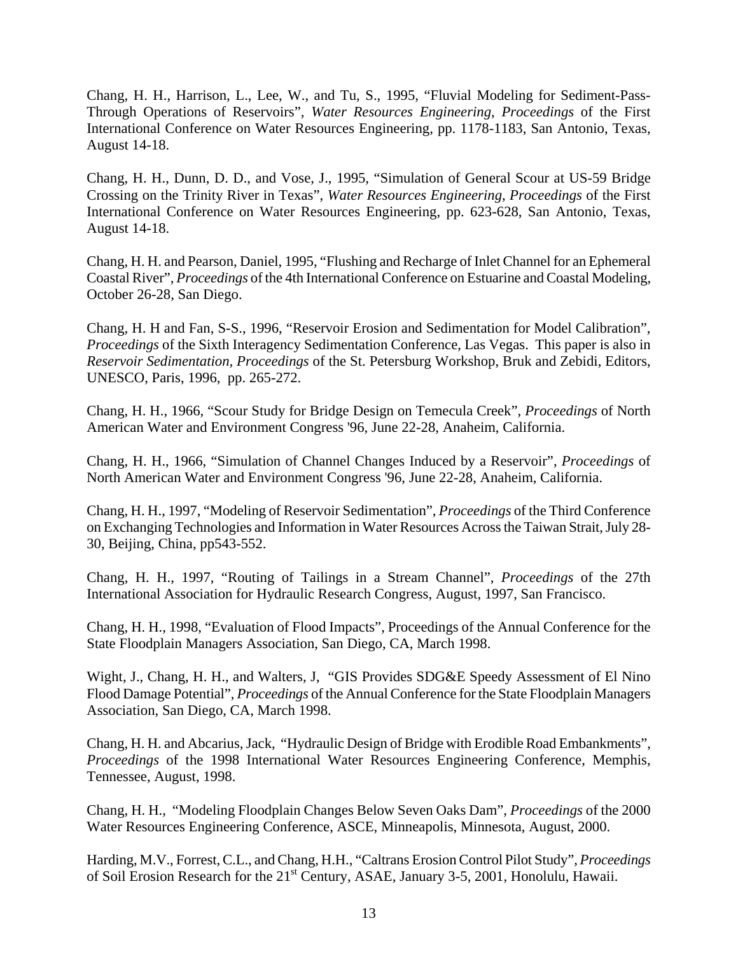Chang, H. H., Harrison, L., Lee, W., and Tu, S., 1995, "Fluvial Modeling for Sediment-Pass-Through Operations of Reservoirs", *Water Resources Engineering*, *Proceedings* of the First International Conference on Water Resources Engineering, pp. 1178-1183, San Antonio, Texas, August 14-18.

Chang, H. H., Dunn, D. D., and Vose, J., 1995, "Simulation of General Scour at US-59 Bridge Crossing on the Trinity River in Texas", *Water Resources Engineering*, *Proceedings* of the First International Conference on Water Resources Engineering, pp. 623-628, San Antonio, Texas, August 14-18.

Chang, H. H. and Pearson, Daniel, 1995, "Flushing and Recharge of Inlet Channel for an Ephemeral Coastal River", *Proceedings* of the 4th International Conference on Estuarine and Coastal Modeling, October 26-28, San Diego.

Chang, H. H and Fan, S-S., 1996, "Reservoir Erosion and Sedimentation for Model Calibration", *Proceedings* of the Sixth Interagency Sedimentation Conference, Las Vegas. This paper is also in *Reservoir Sedimentation, Proceedings* of the St. Petersburg Workshop, Bruk and Zebidi, Editors, UNESCO, Paris, 1996, pp. 265-272.

Chang, H. H., 1966, "Scour Study for Bridge Design on Temecula Creek", *Proceedings* of North American Water and Environment Congress '96, June 22-28, Anaheim, California.

Chang, H. H., 1966, "Simulation of Channel Changes Induced by a Reservoir", *Proceedings* of North American Water and Environment Congress '96, June 22-28, Anaheim, California.

Chang, H. H., 1997, "Modeling of Reservoir Sedimentation", *Proceedings* of the Third Conference on Exchanging Technologies and Information in Water Resources Across the Taiwan Strait, July 28- 30, Beijing, China, pp543-552.

Chang, H. H., 1997, "Routing of Tailings in a Stream Channel", *Proceedings* of the 27th International Association for Hydraulic Research Congress, August, 1997, San Francisco.

Chang, H. H., 1998, "Evaluation of Flood Impacts", Proceedings of the Annual Conference for the State Floodplain Managers Association, San Diego, CA, March 1998.

Wight, J., Chang, H. H., and Walters, J, "GIS Provides SDG&E Speedy Assessment of El Nino Flood Damage Potential", *Proceedings* of the Annual Conference for the State Floodplain Managers Association, San Diego, CA, March 1998.

Chang, H. H. and Abcarius, Jack, "Hydraulic Design of Bridge with Erodible Road Embankments", *Proceedings* of the 1998 International Water Resources Engineering Conference, Memphis, Tennessee, August, 1998.

Chang, H. H., "Modeling Floodplain Changes Below Seven Oaks Dam", *Proceedings* of the 2000 Water Resources Engineering Conference, ASCE, Minneapolis, Minnesota, August, 2000.

Harding, M.V., Forrest, C.L., and Chang, H.H., "Caltrans Erosion Control Pilot Study", *Proceedings* of Soil Erosion Research for the 21<sup>st</sup> Century, ASAE, January 3-5, 2001, Honolulu, Hawaii.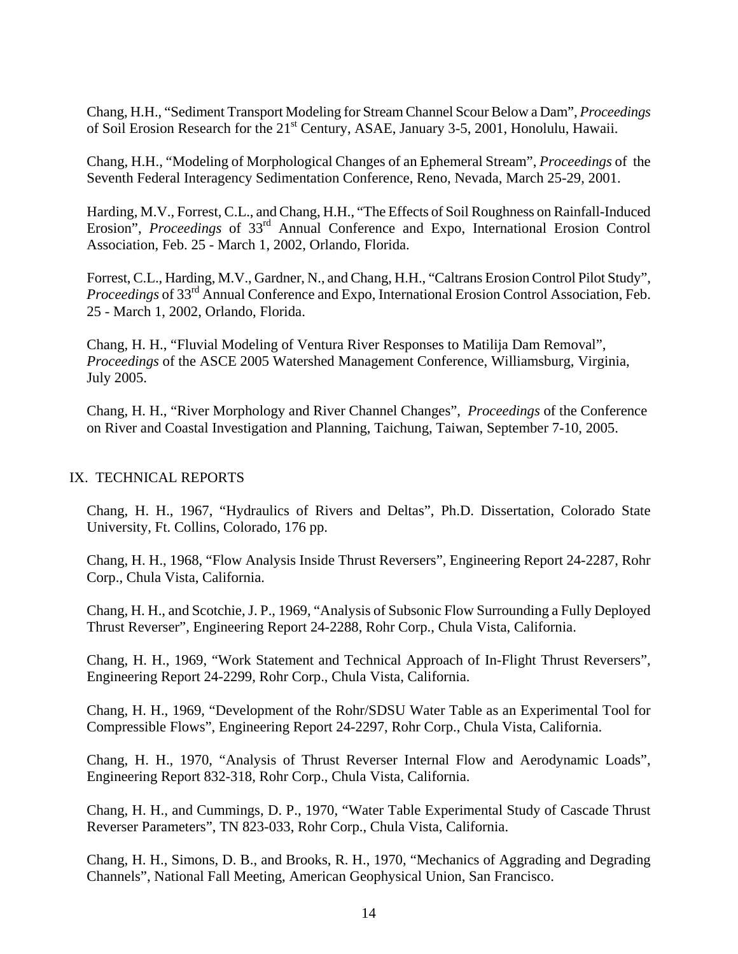Chang, H.H., "Sediment Transport Modeling for Stream Channel Scour Below a Dam", *Proceedings* of Soil Erosion Research for the 21<sup>st</sup> Century, ASAE, January 3-5, 2001, Honolulu, Hawaii.

Chang, H.H., "Modeling of Morphological Changes of an Ephemeral Stream", *Proceedings* of the Seventh Federal Interagency Sedimentation Conference, Reno, Nevada, March 25-29, 2001.

Harding, M.V., Forrest, C.L., and Chang, H.H., "The Effects of Soil Roughness on Rainfall-Induced Erosion", *Proceedings* of 33rd Annual Conference and Expo, International Erosion Control Association, Feb. 25 - March 1, 2002, Orlando, Florida.

Forrest, C.L., Harding, M.V., Gardner, N., and Chang, H.H., "Caltrans Erosion Control Pilot Study", *Proceedings* of 33<sup>rd</sup> Annual Conference and Expo, International Erosion Control Association, Feb. 25 - March 1, 2002, Orlando, Florida.

Chang, H. H., "Fluvial Modeling of Ventura River Responses to Matilija Dam Removal", *Proceedings* of the ASCE 2005 Watershed Management Conference, Williamsburg, Virginia, July 2005.

Chang, H. H., "River Morphology and River Channel Changes", *Proceedings* of the Conference on River and Coastal Investigation and Planning, Taichung, Taiwan, September 7-10, 2005.

## IX. TECHNICAL REPORTS

Chang, H. H., 1967, "Hydraulics of Rivers and Deltas", Ph.D. Dissertation, Colorado State University, Ft. Collins, Colorado, 176 pp.

Chang, H. H., 1968, "Flow Analysis Inside Thrust Reversers", Engineering Report 24-2287, Rohr Corp., Chula Vista, California.

Chang, H. H., and Scotchie, J. P., 1969, "Analysis of Subsonic Flow Surrounding a Fully Deployed Thrust Reverser", Engineering Report 24-2288, Rohr Corp., Chula Vista, California.

Chang, H. H., 1969, "Work Statement and Technical Approach of In-Flight Thrust Reversers", Engineering Report 24-2299, Rohr Corp., Chula Vista, California.

Chang, H. H., 1969, "Development of the Rohr/SDSU Water Table as an Experimental Tool for Compressible Flows", Engineering Report 24-2297, Rohr Corp., Chula Vista, California.

Chang, H. H., 1970, "Analysis of Thrust Reverser Internal Flow and Aerodynamic Loads", Engineering Report 832-318, Rohr Corp., Chula Vista, California.

Chang, H. H., and Cummings, D. P., 1970, "Water Table Experimental Study of Cascade Thrust Reverser Parameters", TN 823-033, Rohr Corp., Chula Vista, California.

Chang, H. H., Simons, D. B., and Brooks, R. H., 1970, "Mechanics of Aggrading and Degrading Channels", National Fall Meeting, American Geophysical Union, San Francisco.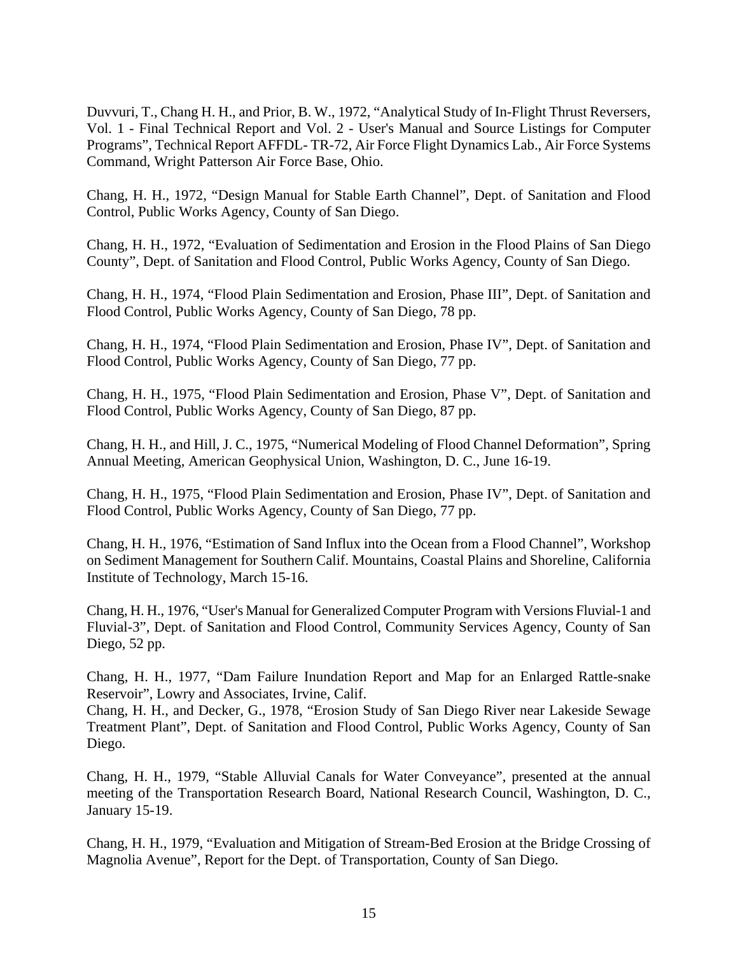Duvvuri, T., Chang H. H., and Prior, B. W., 1972, "Analytical Study of In-Flight Thrust Reversers, Vol. 1 - Final Technical Report and Vol. 2 - User's Manual and Source Listings for Computer Programs", Technical Report AFFDL- TR-72, Air Force Flight Dynamics Lab., Air Force Systems Command, Wright Patterson Air Force Base, Ohio.

Chang, H. H., 1972, "Design Manual for Stable Earth Channel", Dept. of Sanitation and Flood Control, Public Works Agency, County of San Diego.

Chang, H. H., 1972, "Evaluation of Sedimentation and Erosion in the Flood Plains of San Diego County", Dept. of Sanitation and Flood Control, Public Works Agency, County of San Diego.

Chang, H. H., 1974, "Flood Plain Sedimentation and Erosion, Phase III", Dept. of Sanitation and Flood Control, Public Works Agency, County of San Diego, 78 pp.

Chang, H. H., 1974, "Flood Plain Sedimentation and Erosion, Phase IV", Dept. of Sanitation and Flood Control, Public Works Agency, County of San Diego, 77 pp.

Chang, H. H., 1975, "Flood Plain Sedimentation and Erosion, Phase V", Dept. of Sanitation and Flood Control, Public Works Agency, County of San Diego, 87 pp.

Chang, H. H., and Hill, J. C., 1975, "Numerical Modeling of Flood Channel Deformation", Spring Annual Meeting, American Geophysical Union, Washington, D. C., June 16-19.

Chang, H. H., 1975, "Flood Plain Sedimentation and Erosion, Phase IV", Dept. of Sanitation and Flood Control, Public Works Agency, County of San Diego, 77 pp.

Chang, H. H., 1976, "Estimation of Sand Influx into the Ocean from a Flood Channel", Workshop on Sediment Management for Southern Calif. Mountains, Coastal Plains and Shoreline, California Institute of Technology, March 15-16.

Chang, H. H., 1976, "User's Manual for Generalized Computer Program with Versions Fluvial-1 and Fluvial-3", Dept. of Sanitation and Flood Control, Community Services Agency, County of San Diego, 52 pp.

Chang, H. H., 1977, "Dam Failure Inundation Report and Map for an Enlarged Rattle-snake Reservoir", Lowry and Associates, Irvine, Calif.

Chang, H. H., and Decker, G., 1978, "Erosion Study of San Diego River near Lakeside Sewage Treatment Plant", Dept. of Sanitation and Flood Control, Public Works Agency, County of San Diego.

Chang, H. H., 1979, "Stable Alluvial Canals for Water Conveyance", presented at the annual meeting of the Transportation Research Board, National Research Council, Washington, D. C., January 15-19.

Chang, H. H., 1979, "Evaluation and Mitigation of Stream-Bed Erosion at the Bridge Crossing of Magnolia Avenue", Report for the Dept. of Transportation, County of San Diego.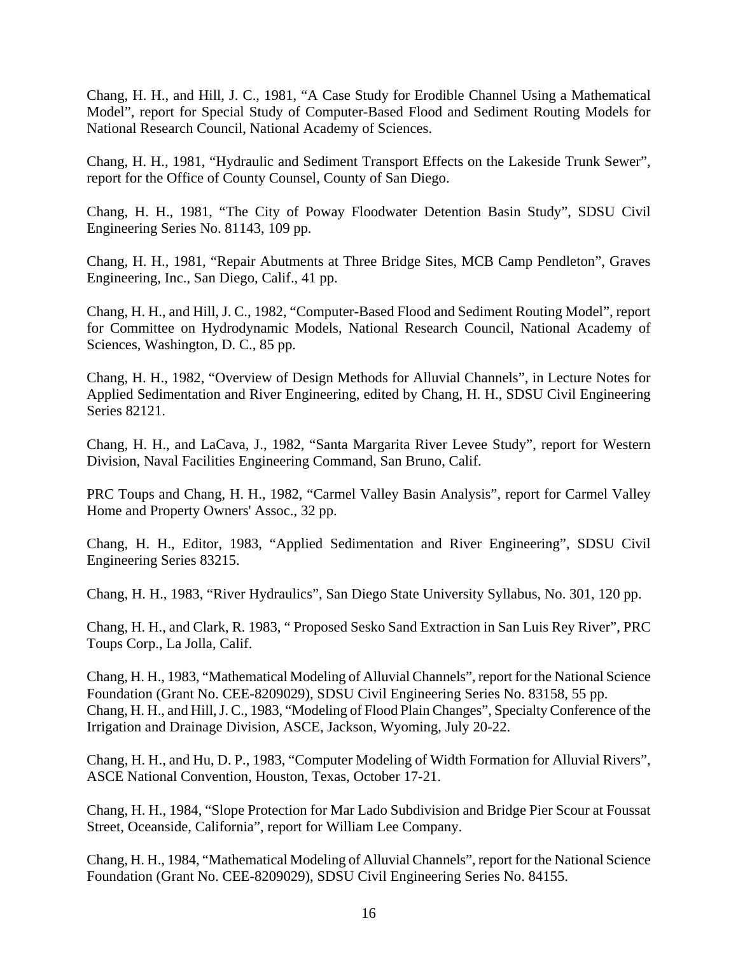Chang, H. H., and Hill, J. C., 1981, "A Case Study for Erodible Channel Using a Mathematical Model", report for Special Study of Computer-Based Flood and Sediment Routing Models for National Research Council, National Academy of Sciences.

Chang, H. H., 1981, "Hydraulic and Sediment Transport Effects on the Lakeside Trunk Sewer", report for the Office of County Counsel, County of San Diego.

Chang, H. H., 1981, "The City of Poway Floodwater Detention Basin Study", SDSU Civil Engineering Series No. 81143, 109 pp.

Chang, H. H., 1981, "Repair Abutments at Three Bridge Sites, MCB Camp Pendleton", Graves Engineering, Inc., San Diego, Calif., 41 pp.

Chang, H. H., and Hill, J. C., 1982, "Computer-Based Flood and Sediment Routing Model", report for Committee on Hydrodynamic Models, National Research Council, National Academy of Sciences, Washington, D. C., 85 pp.

Chang, H. H., 1982, "Overview of Design Methods for Alluvial Channels", in Lecture Notes for Applied Sedimentation and River Engineering, edited by Chang, H. H., SDSU Civil Engineering Series 82121.

Chang, H. H., and LaCava, J., 1982, "Santa Margarita River Levee Study", report for Western Division, Naval Facilities Engineering Command, San Bruno, Calif.

PRC Toups and Chang, H. H., 1982, "Carmel Valley Basin Analysis", report for Carmel Valley Home and Property Owners' Assoc., 32 pp.

Chang, H. H., Editor, 1983, "Applied Sedimentation and River Engineering", SDSU Civil Engineering Series 83215.

Chang, H. H., 1983, "River Hydraulics", San Diego State University Syllabus, No. 301, 120 pp.

Chang, H. H., and Clark, R. 1983, " Proposed Sesko Sand Extraction in San Luis Rey River", PRC Toups Corp., La Jolla, Calif.

Chang, H. H., 1983, "Mathematical Modeling of Alluvial Channels", report for the National Science Foundation (Grant No. CEE-8209029), SDSU Civil Engineering Series No. 83158, 55 pp. Chang, H. H., and Hill, J. C., 1983, "Modeling of Flood Plain Changes", Specialty Conference of the Irrigation and Drainage Division, ASCE, Jackson, Wyoming, July 20-22.

Chang, H. H., and Hu, D. P., 1983, "Computer Modeling of Width Formation for Alluvial Rivers", ASCE National Convention, Houston, Texas, October 17-21.

Chang, H. H., 1984, "Slope Protection for Mar Lado Subdivision and Bridge Pier Scour at Foussat Street, Oceanside, California", report for William Lee Company.

Chang, H. H., 1984, "Mathematical Modeling of Alluvial Channels", report for the National Science Foundation (Grant No. CEE-8209029), SDSU Civil Engineering Series No. 84155.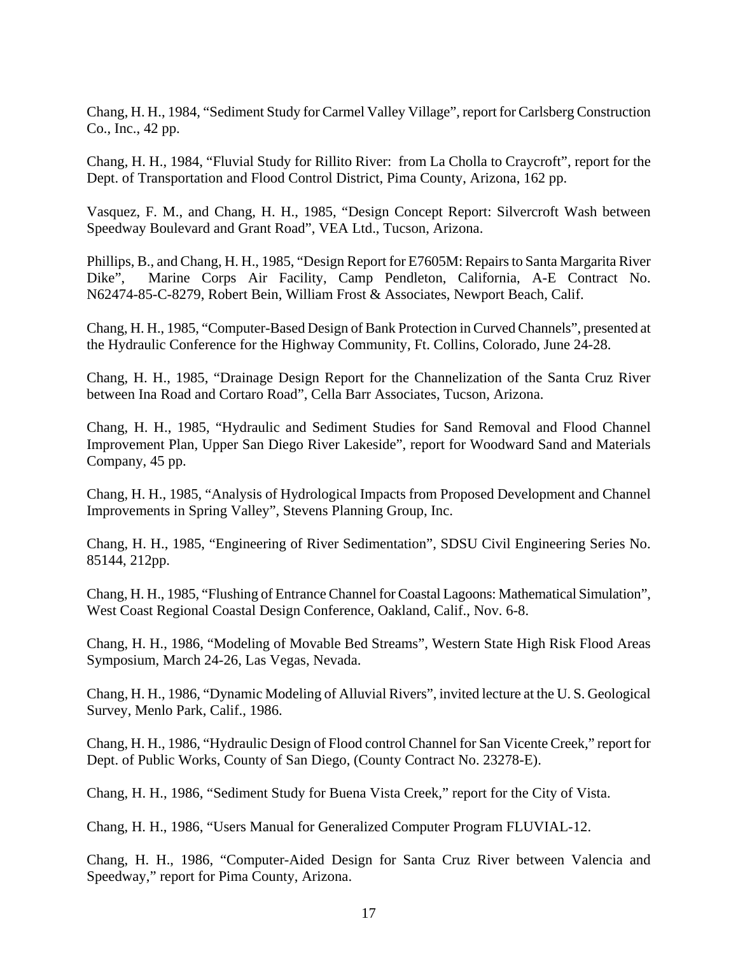Chang, H. H., 1984, "Sediment Study for Carmel Valley Village", report for Carlsberg Construction Co., Inc., 42 pp.

Chang, H. H., 1984, "Fluvial Study for Rillito River: from La Cholla to Craycroft", report for the Dept. of Transportation and Flood Control District, Pima County, Arizona, 162 pp.

Vasquez, F. M., and Chang, H. H., 1985, "Design Concept Report: Silvercroft Wash between Speedway Boulevard and Grant Road", VEA Ltd., Tucson, Arizona.

Phillips, B., and Chang, H. H., 1985, "Design Report for E7605M: Repairs to Santa Margarita River Dike", Marine Corps Air Facility, Camp Pendleton, California, A-E Contract No. N62474-85-C-8279, Robert Bein, William Frost & Associates, Newport Beach, Calif.

Chang, H. H., 1985, "Computer-Based Design of Bank Protection in Curved Channels", presented at the Hydraulic Conference for the Highway Community, Ft. Collins, Colorado, June 24-28.

Chang, H. H., 1985, "Drainage Design Report for the Channelization of the Santa Cruz River between Ina Road and Cortaro Road", Cella Barr Associates, Tucson, Arizona.

Chang, H. H., 1985, "Hydraulic and Sediment Studies for Sand Removal and Flood Channel Improvement Plan, Upper San Diego River Lakeside", report for Woodward Sand and Materials Company, 45 pp.

Chang, H. H., 1985, "Analysis of Hydrological Impacts from Proposed Development and Channel Improvements in Spring Valley", Stevens Planning Group, Inc.

Chang, H. H., 1985, "Engineering of River Sedimentation", SDSU Civil Engineering Series No. 85144, 212pp.

Chang, H. H., 1985, "Flushing of Entrance Channel for Coastal Lagoons: Mathematical Simulation", West Coast Regional Coastal Design Conference, Oakland, Calif., Nov. 6-8.

Chang, H. H., 1986, "Modeling of Movable Bed Streams", Western State High Risk Flood Areas Symposium, March 24-26, Las Vegas, Nevada.

Chang, H. H., 1986, "Dynamic Modeling of Alluvial Rivers", invited lecture at the U. S. Geological Survey, Menlo Park, Calif., 1986.

Chang, H. H., 1986, "Hydraulic Design of Flood control Channel for San Vicente Creek," report for Dept. of Public Works, County of San Diego, (County Contract No. 23278-E).

Chang, H. H., 1986, "Sediment Study for Buena Vista Creek," report for the City of Vista.

Chang, H. H., 1986, "Users Manual for Generalized Computer Program FLUVIAL-12.

Chang, H. H., 1986, "Computer-Aided Design for Santa Cruz River between Valencia and Speedway," report for Pima County, Arizona.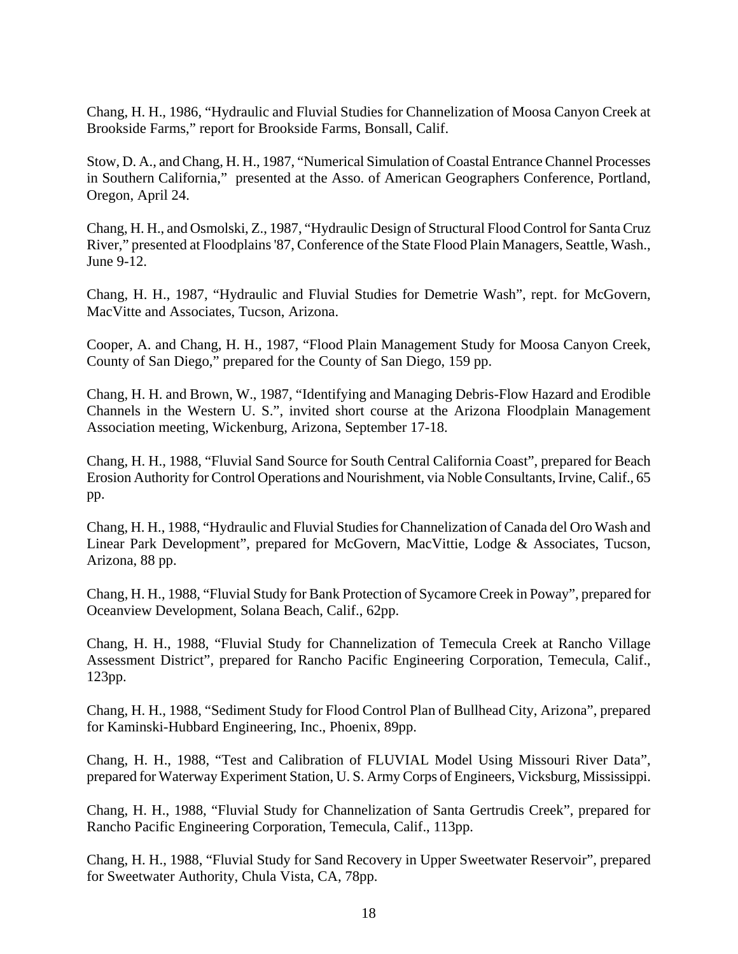Chang, H. H., 1986, "Hydraulic and Fluvial Studies for Channelization of Moosa Canyon Creek at Brookside Farms," report for Brookside Farms, Bonsall, Calif.

Stow, D. A., and Chang, H. H., 1987, "Numerical Simulation of Coastal Entrance Channel Processes in Southern California," presented at the Asso. of American Geographers Conference, Portland, Oregon, April 24.

Chang, H. H., and Osmolski, Z., 1987, "Hydraulic Design of Structural Flood Control for Santa Cruz River," presented at Floodplains '87, Conference of the State Flood Plain Managers, Seattle, Wash., June 9-12.

Chang, H. H., 1987, "Hydraulic and Fluvial Studies for Demetrie Wash", rept. for McGovern, MacVitte and Associates, Tucson, Arizona.

Cooper, A. and Chang, H. H., 1987, "Flood Plain Management Study for Moosa Canyon Creek, County of San Diego," prepared for the County of San Diego, 159 pp.

Chang, H. H. and Brown, W., 1987, "Identifying and Managing Debris-Flow Hazard and Erodible Channels in the Western U. S.", invited short course at the Arizona Floodplain Management Association meeting, Wickenburg, Arizona, September 17-18.

Chang, H. H., 1988, "Fluvial Sand Source for South Central California Coast", prepared for Beach Erosion Authority for Control Operations and Nourishment, via Noble Consultants, Irvine, Calif., 65 pp.

Chang, H. H., 1988, "Hydraulic and Fluvial Studies for Channelization of Canada del Oro Wash and Linear Park Development", prepared for McGovern, MacVittie, Lodge & Associates, Tucson, Arizona, 88 pp.

Chang, H. H., 1988, "Fluvial Study for Bank Protection of Sycamore Creek in Poway", prepared for Oceanview Development, Solana Beach, Calif., 62pp.

Chang, H. H., 1988, "Fluvial Study for Channelization of Temecula Creek at Rancho Village Assessment District", prepared for Rancho Pacific Engineering Corporation, Temecula, Calif., 123pp.

Chang, H. H., 1988, "Sediment Study for Flood Control Plan of Bullhead City, Arizona", prepared for Kaminski-Hubbard Engineering, Inc., Phoenix, 89pp.

Chang, H. H., 1988, "Test and Calibration of FLUVIAL Model Using Missouri River Data", prepared for Waterway Experiment Station, U. S. Army Corps of Engineers, Vicksburg, Mississippi.

Chang, H. H., 1988, "Fluvial Study for Channelization of Santa Gertrudis Creek", prepared for Rancho Pacific Engineering Corporation, Temecula, Calif., 113pp.

Chang, H. H., 1988, "Fluvial Study for Sand Recovery in Upper Sweetwater Reservoir", prepared for Sweetwater Authority, Chula Vista, CA, 78pp.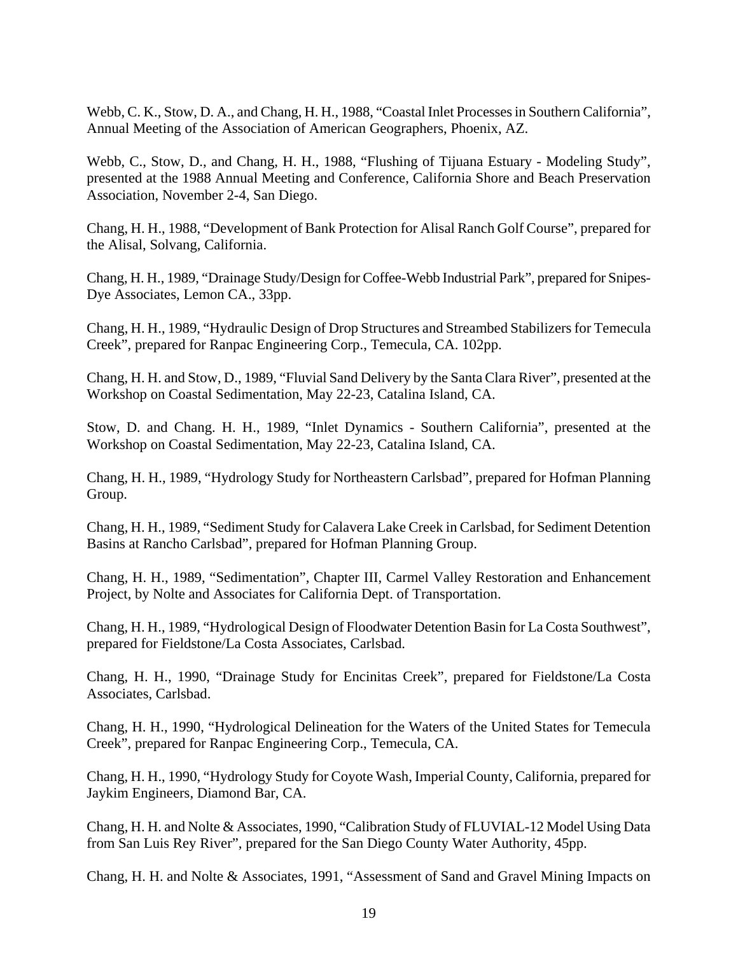Webb, C. K., Stow, D. A., and Chang, H. H., 1988, "Coastal Inlet Processes in Southern California", Annual Meeting of the Association of American Geographers, Phoenix, AZ.

Webb, C., Stow, D., and Chang, H. H., 1988, "Flushing of Tijuana Estuary - Modeling Study", presented at the 1988 Annual Meeting and Conference, California Shore and Beach Preservation Association, November 2-4, San Diego.

Chang, H. H., 1988, "Development of Bank Protection for Alisal Ranch Golf Course", prepared for the Alisal, Solvang, California.

Chang, H. H., 1989, "Drainage Study/Design for Coffee-Webb Industrial Park", prepared for Snipes-Dye Associates, Lemon CA., 33pp.

Chang, H. H., 1989, "Hydraulic Design of Drop Structures and Streambed Stabilizers for Temecula Creek", prepared for Ranpac Engineering Corp., Temecula, CA. 102pp.

Chang, H. H. and Stow, D., 1989, "Fluvial Sand Delivery by the Santa Clara River", presented at the Workshop on Coastal Sedimentation, May 22-23, Catalina Island, CA.

Stow, D. and Chang. H. H., 1989, "Inlet Dynamics - Southern California", presented at the Workshop on Coastal Sedimentation, May 22-23, Catalina Island, CA.

Chang, H. H., 1989, "Hydrology Study for Northeastern Carlsbad", prepared for Hofman Planning Group.

Chang, H. H., 1989, "Sediment Study for Calavera Lake Creek in Carlsbad, for Sediment Detention Basins at Rancho Carlsbad", prepared for Hofman Planning Group.

Chang, H. H., 1989, "Sedimentation", Chapter III, Carmel Valley Restoration and Enhancement Project, by Nolte and Associates for California Dept. of Transportation.

Chang, H. H., 1989, "Hydrological Design of Floodwater Detention Basin for La Costa Southwest", prepared for Fieldstone/La Costa Associates, Carlsbad.

Chang, H. H., 1990, "Drainage Study for Encinitas Creek", prepared for Fieldstone/La Costa Associates, Carlsbad.

Chang, H. H., 1990, "Hydrological Delineation for the Waters of the United States for Temecula Creek", prepared for Ranpac Engineering Corp., Temecula, CA.

Chang, H. H., 1990, "Hydrology Study for Coyote Wash, Imperial County, California, prepared for Jaykim Engineers, Diamond Bar, CA.

Chang, H. H. and Nolte & Associates, 1990, "Calibration Study of FLUVIAL-12 Model Using Data from San Luis Rey River", prepared for the San Diego County Water Authority, 45pp.

Chang, H. H. and Nolte & Associates, 1991, "Assessment of Sand and Gravel Mining Impacts on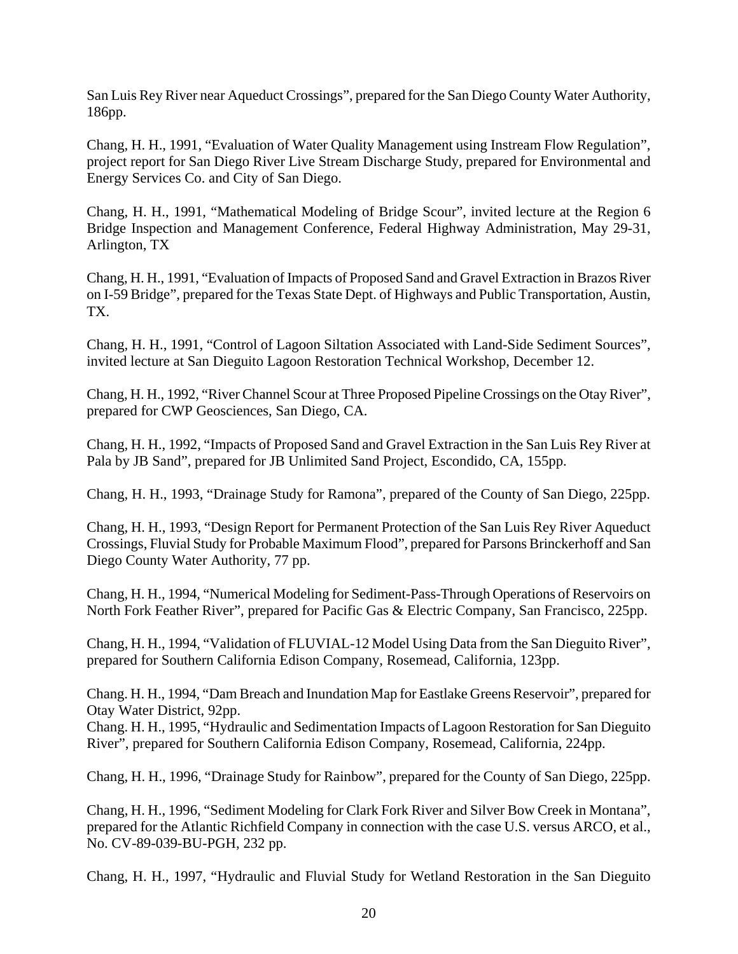San Luis Rey River near Aqueduct Crossings", prepared for the San Diego County Water Authority, 186pp.

Chang, H. H., 1991, "Evaluation of Water Quality Management using Instream Flow Regulation", project report for San Diego River Live Stream Discharge Study, prepared for Environmental and Energy Services Co. and City of San Diego.

Chang, H. H., 1991, "Mathematical Modeling of Bridge Scour", invited lecture at the Region 6 Bridge Inspection and Management Conference, Federal Highway Administration, May 29-31, Arlington, TX

Chang, H. H., 1991, "Evaluation of Impacts of Proposed Sand and Gravel Extraction in Brazos River on I-59 Bridge", prepared for the Texas State Dept. of Highways and Public Transportation, Austin, TX.

Chang, H. H., 1991, "Control of Lagoon Siltation Associated with Land-Side Sediment Sources", invited lecture at San Dieguito Lagoon Restoration Technical Workshop, December 12.

Chang, H. H., 1992, "River Channel Scour at Three Proposed Pipeline Crossings on the Otay River", prepared for CWP Geosciences, San Diego, CA.

Chang, H. H., 1992, "Impacts of Proposed Sand and Gravel Extraction in the San Luis Rey River at Pala by JB Sand", prepared for JB Unlimited Sand Project, Escondido, CA, 155pp.

Chang, H. H., 1993, "Drainage Study for Ramona", prepared of the County of San Diego, 225pp.

Chang, H. H., 1993, "Design Report for Permanent Protection of the San Luis Rey River Aqueduct Crossings, Fluvial Study for Probable Maximum Flood", prepared for Parsons Brinckerhoff and San Diego County Water Authority, 77 pp.

Chang, H. H., 1994, "Numerical Modeling for Sediment-Pass-Through Operations of Reservoirs on North Fork Feather River", prepared for Pacific Gas & Electric Company, San Francisco, 225pp.

Chang, H. H., 1994, "Validation of FLUVIAL-12 Model Using Data from the San Dieguito River", prepared for Southern California Edison Company, Rosemead, California, 123pp.

Chang. H. H., 1994, "Dam Breach and Inundation Map for Eastlake Greens Reservoir", prepared for Otay Water District, 92pp.

Chang. H. H., 1995, "Hydraulic and Sedimentation Impacts of Lagoon Restoration for San Dieguito River", prepared for Southern California Edison Company, Rosemead, California, 224pp.

Chang, H. H., 1996, "Drainage Study for Rainbow", prepared for the County of San Diego, 225pp.

Chang, H. H., 1996, "Sediment Modeling for Clark Fork River and Silver Bow Creek in Montana", prepared for the Atlantic Richfield Company in connection with the case U.S. versus ARCO, et al., No. CV-89-039-BU-PGH, 232 pp.

Chang, H. H., 1997, "Hydraulic and Fluvial Study for Wetland Restoration in the San Dieguito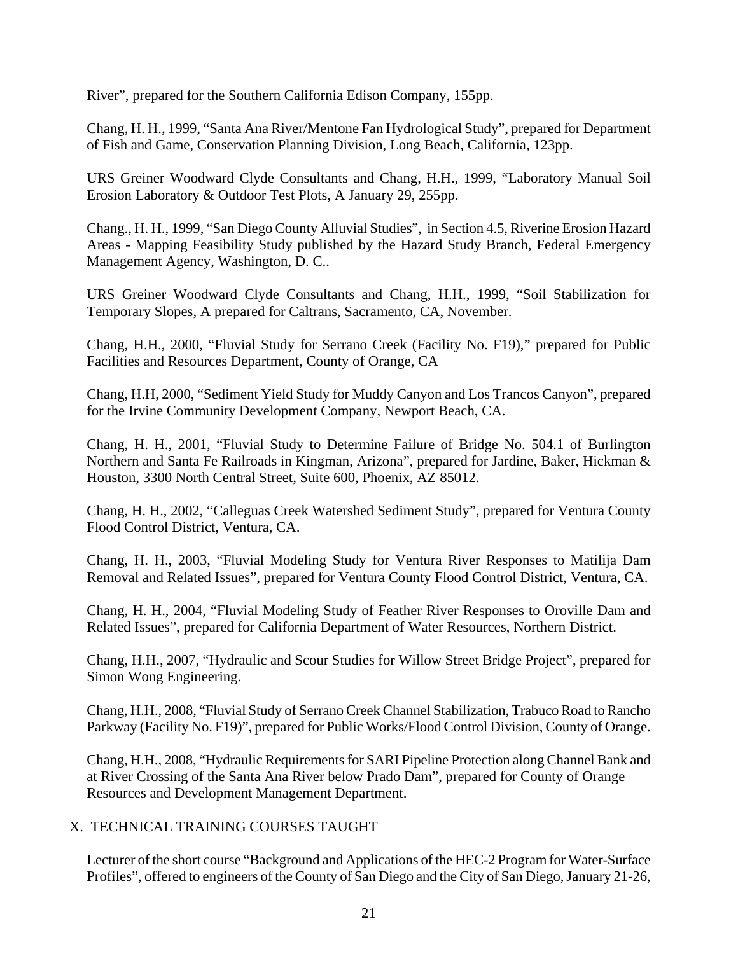River", prepared for the Southern California Edison Company, 155pp.

Chang, H. H., 1999, "Santa Ana River/Mentone Fan Hydrological Study", prepared for Department of Fish and Game, Conservation Planning Division, Long Beach, California, 123pp.

URS Greiner Woodward Clyde Consultants and Chang, H.H., 1999, "Laboratory Manual Soil Erosion Laboratory & Outdoor Test Plots, A January 29, 255pp.

Chang., H. H., 1999, "San Diego County Alluvial Studies", in Section 4.5, Riverine Erosion Hazard Areas - Mapping Feasibility Study published by the Hazard Study Branch, Federal Emergency Management Agency, Washington, D. C..

URS Greiner Woodward Clyde Consultants and Chang, H.H., 1999, "Soil Stabilization for Temporary Slopes, A prepared for Caltrans, Sacramento, CA, November.

Chang, H.H., 2000, "Fluvial Study for Serrano Creek (Facility No. F19)," prepared for Public Facilities and Resources Department, County of Orange, CA

Chang, H.H, 2000, "Sediment Yield Study for Muddy Canyon and Los Trancos Canyon", prepared for the Irvine Community Development Company, Newport Beach, CA.

Chang, H. H., 2001, "Fluvial Study to Determine Failure of Bridge No. 504.1 of Burlington Northern and Santa Fe Railroads in Kingman, Arizona", prepared for Jardine, Baker, Hickman & Houston, 3300 North Central Street, Suite 600, Phoenix, AZ 85012.

Chang, H. H., 2002, "Calleguas Creek Watershed Sediment Study", prepared for Ventura County Flood Control District, Ventura, CA.

Chang, H. H., 2003, "Fluvial Modeling Study for Ventura River Responses to Matilija Dam Removal and Related Issues", prepared for Ventura County Flood Control District, Ventura, CA.

Chang, H. H., 2004, "Fluvial Modeling Study of Feather River Responses to Oroville Dam and Related Issues", prepared for California Department of Water Resources, Northern District.

Chang, H.H., 2007, "Hydraulic and Scour Studies for Willow Street Bridge Project", prepared for Simon Wong Engineering.

Chang, H.H., 2008, "Fluvial Study of Serrano Creek Channel Stabilization, Trabuco Road to Rancho Parkway (Facility No. F19)", prepared for Public Works/Flood Control Division, County of Orange.

Chang, H.H., 2008, "Hydraulic Requirements for SARI Pipeline Protection along Channel Bank and at River Crossing of the Santa Ana River below Prado Dam", prepared for County of Orange Resources and Development Management Department.

# X. TECHNICAL TRAINING COURSES TAUGHT

Lecturer of the short course "Background and Applications of the HEC-2 Program for Water-Surface Profiles", offered to engineers of the County of San Diego and the City of San Diego, January 21-26,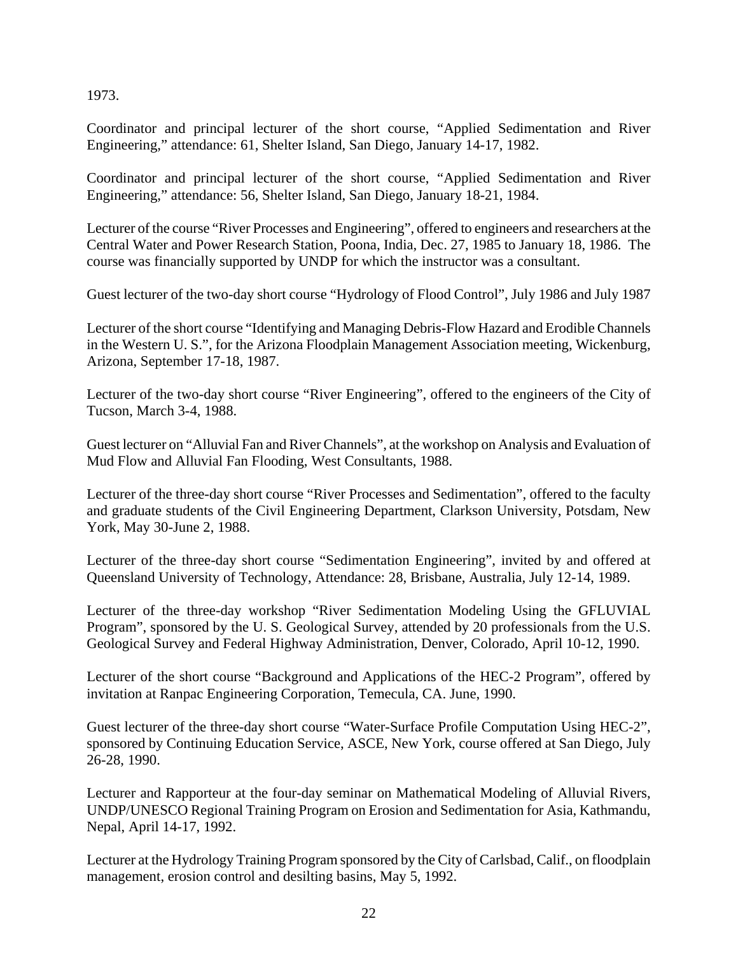1973.

Coordinator and principal lecturer of the short course, "Applied Sedimentation and River Engineering," attendance: 61, Shelter Island, San Diego, January 14-17, 1982.

Coordinator and principal lecturer of the short course, "Applied Sedimentation and River Engineering," attendance: 56, Shelter Island, San Diego, January 18-21, 1984.

Lecturer of the course "River Processes and Engineering", offered to engineers and researchers at the Central Water and Power Research Station, Poona, India, Dec. 27, 1985 to January 18, 1986. The course was financially supported by UNDP for which the instructor was a consultant.

Guest lecturer of the two-day short course "Hydrology of Flood Control", July 1986 and July 1987

Lecturer of the short course "Identifying and Managing Debris-Flow Hazard and Erodible Channels in the Western U. S.", for the Arizona Floodplain Management Association meeting, Wickenburg, Arizona, September 17-18, 1987.

Lecturer of the two-day short course "River Engineering", offered to the engineers of the City of Tucson, March 3-4, 1988.

Guest lecturer on "Alluvial Fan and River Channels", at the workshop on Analysis and Evaluation of Mud Flow and Alluvial Fan Flooding, West Consultants, 1988.

Lecturer of the three-day short course "River Processes and Sedimentation", offered to the faculty and graduate students of the Civil Engineering Department, Clarkson University, Potsdam, New York, May 30-June 2, 1988.

Lecturer of the three-day short course "Sedimentation Engineering", invited by and offered at Queensland University of Technology, Attendance: 28, Brisbane, Australia, July 12-14, 1989.

Lecturer of the three-day workshop "River Sedimentation Modeling Using the GFLUVIAL Program", sponsored by the U. S. Geological Survey, attended by 20 professionals from the U.S. Geological Survey and Federal Highway Administration, Denver, Colorado, April 10-12, 1990.

Lecturer of the short course "Background and Applications of the HEC-2 Program", offered by invitation at Ranpac Engineering Corporation, Temecula, CA. June, 1990.

Guest lecturer of the three-day short course "Water-Surface Profile Computation Using HEC-2", sponsored by Continuing Education Service, ASCE, New York, course offered at San Diego, July 26-28, 1990.

Lecturer and Rapporteur at the four-day seminar on Mathematical Modeling of Alluvial Rivers, UNDP/UNESCO Regional Training Program on Erosion and Sedimentation for Asia, Kathmandu, Nepal, April 14-17, 1992.

Lecturer at the Hydrology Training Program sponsored by the City of Carlsbad, Calif., on floodplain management, erosion control and desilting basins, May 5, 1992.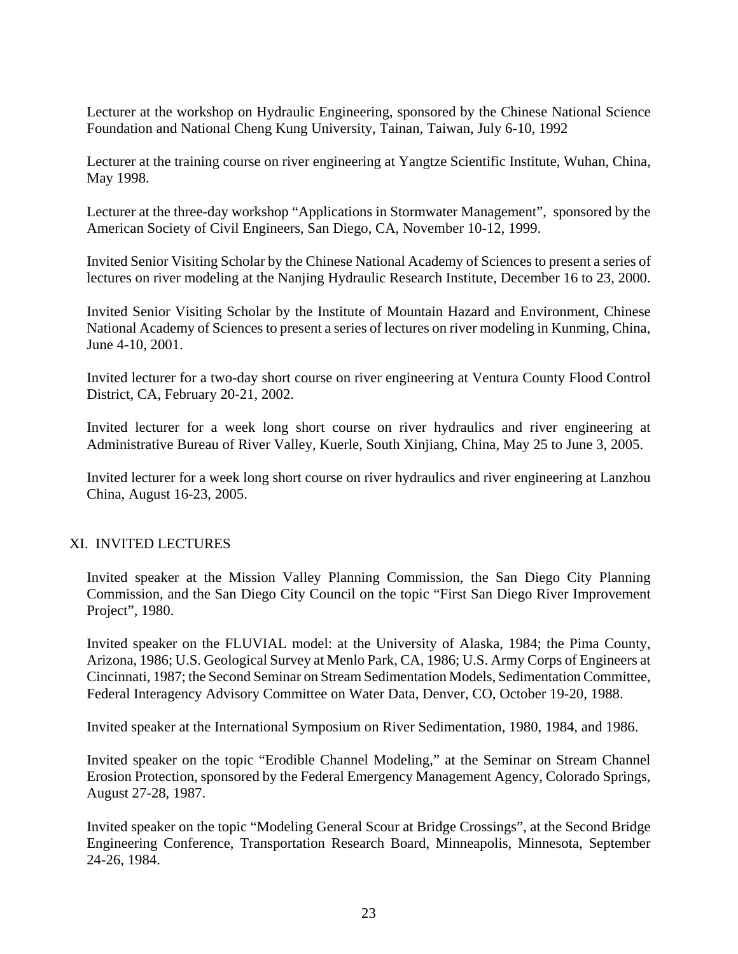Lecturer at the workshop on Hydraulic Engineering, sponsored by the Chinese National Science Foundation and National Cheng Kung University, Tainan, Taiwan, July 6-10, 1992

Lecturer at the training course on river engineering at Yangtze Scientific Institute, Wuhan, China, May 1998.

Lecturer at the three-day workshop "Applications in Stormwater Management", sponsored by the American Society of Civil Engineers, San Diego, CA, November 10-12, 1999.

Invited Senior Visiting Scholar by the Chinese National Academy of Sciences to present a series of lectures on river modeling at the Nanjing Hydraulic Research Institute, December 16 to 23, 2000.

Invited Senior Visiting Scholar by the Institute of Mountain Hazard and Environment, Chinese National Academy of Sciences to present a series of lectures on river modeling in Kunming, China, June 4-10, 2001.

Invited lecturer for a two-day short course on river engineering at Ventura County Flood Control District, CA, February 20-21, 2002.

Invited lecturer for a week long short course on river hydraulics and river engineering at Administrative Bureau of River Valley, Kuerle, South Xinjiang, China, May 25 to June 3, 2005.

Invited lecturer for a week long short course on river hydraulics and river engineering at Lanzhou China, August 16-23, 2005.

### XI. INVITED LECTURES

Invited speaker at the Mission Valley Planning Commission, the San Diego City Planning Commission, and the San Diego City Council on the topic "First San Diego River Improvement Project", 1980.

Invited speaker on the FLUVIAL model: at the University of Alaska, 1984; the Pima County, Arizona, 1986; U.S. Geological Survey at Menlo Park, CA, 1986; U.S. Army Corps of Engineers at Cincinnati, 1987; the Second Seminar on Stream Sedimentation Models, Sedimentation Committee, Federal Interagency Advisory Committee on Water Data, Denver, CO, October 19-20, 1988.

Invited speaker at the International Symposium on River Sedimentation, 1980, 1984, and 1986.

Invited speaker on the topic "Erodible Channel Modeling," at the Seminar on Stream Channel Erosion Protection, sponsored by the Federal Emergency Management Agency, Colorado Springs, August 27-28, 1987.

Invited speaker on the topic "Modeling General Scour at Bridge Crossings", at the Second Bridge Engineering Conference, Transportation Research Board, Minneapolis, Minnesota, September 24-26, 1984.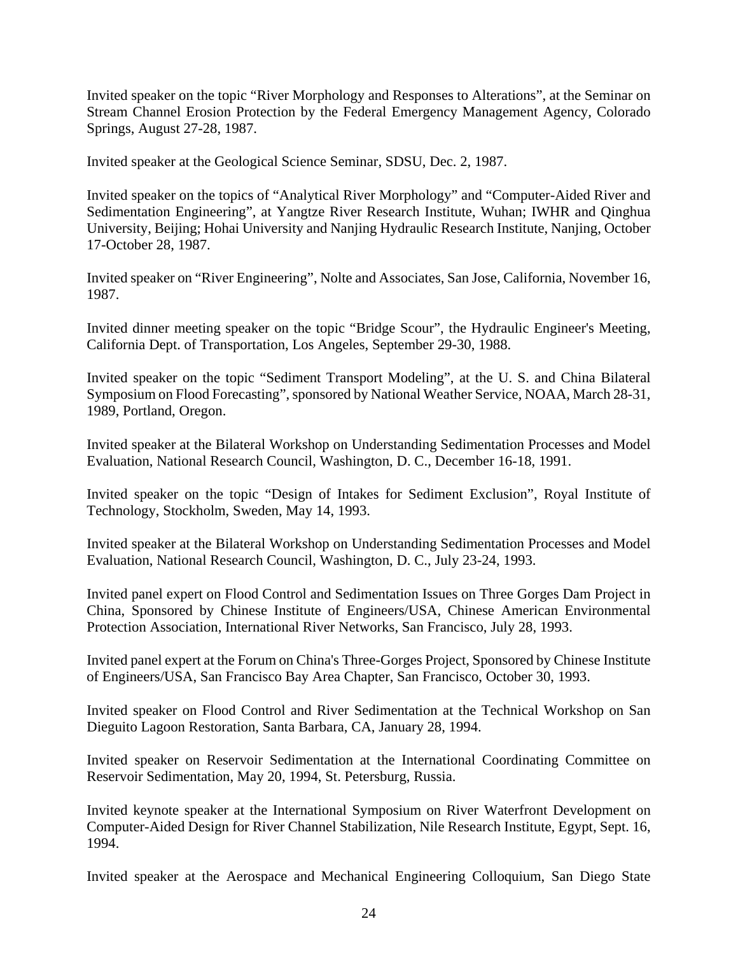Invited speaker on the topic "River Morphology and Responses to Alterations", at the Seminar on Stream Channel Erosion Protection by the Federal Emergency Management Agency, Colorado Springs, August 27-28, 1987.

Invited speaker at the Geological Science Seminar, SDSU, Dec. 2, 1987.

Invited speaker on the topics of "Analytical River Morphology" and "Computer-Aided River and Sedimentation Engineering", at Yangtze River Research Institute, Wuhan; IWHR and Qinghua University, Beijing; Hohai University and Nanjing Hydraulic Research Institute, Nanjing, October 17-October 28, 1987.

Invited speaker on "River Engineering", Nolte and Associates, San Jose, California, November 16, 1987.

Invited dinner meeting speaker on the topic "Bridge Scour", the Hydraulic Engineer's Meeting, California Dept. of Transportation, Los Angeles, September 29-30, 1988.

Invited speaker on the topic "Sediment Transport Modeling", at the U. S. and China Bilateral Symposium on Flood Forecasting", sponsored by National Weather Service, NOAA, March 28-31, 1989, Portland, Oregon.

Invited speaker at the Bilateral Workshop on Understanding Sedimentation Processes and Model Evaluation, National Research Council, Washington, D. C., December 16-18, 1991.

Invited speaker on the topic "Design of Intakes for Sediment Exclusion", Royal Institute of Technology, Stockholm, Sweden, May 14, 1993.

Invited speaker at the Bilateral Workshop on Understanding Sedimentation Processes and Model Evaluation, National Research Council, Washington, D. C., July 23-24, 1993.

Invited panel expert on Flood Control and Sedimentation Issues on Three Gorges Dam Project in China, Sponsored by Chinese Institute of Engineers/USA, Chinese American Environmental Protection Association, International River Networks, San Francisco, July 28, 1993.

Invited panel expert at the Forum on China's Three-Gorges Project, Sponsored by Chinese Institute of Engineers/USA, San Francisco Bay Area Chapter, San Francisco, October 30, 1993.

Invited speaker on Flood Control and River Sedimentation at the Technical Workshop on San Dieguito Lagoon Restoration, Santa Barbara, CA, January 28, 1994.

Invited speaker on Reservoir Sedimentation at the International Coordinating Committee on Reservoir Sedimentation, May 20, 1994, St. Petersburg, Russia.

Invited keynote speaker at the International Symposium on River Waterfront Development on Computer-Aided Design for River Channel Stabilization, Nile Research Institute, Egypt, Sept. 16, 1994.

Invited speaker at the Aerospace and Mechanical Engineering Colloquium, San Diego State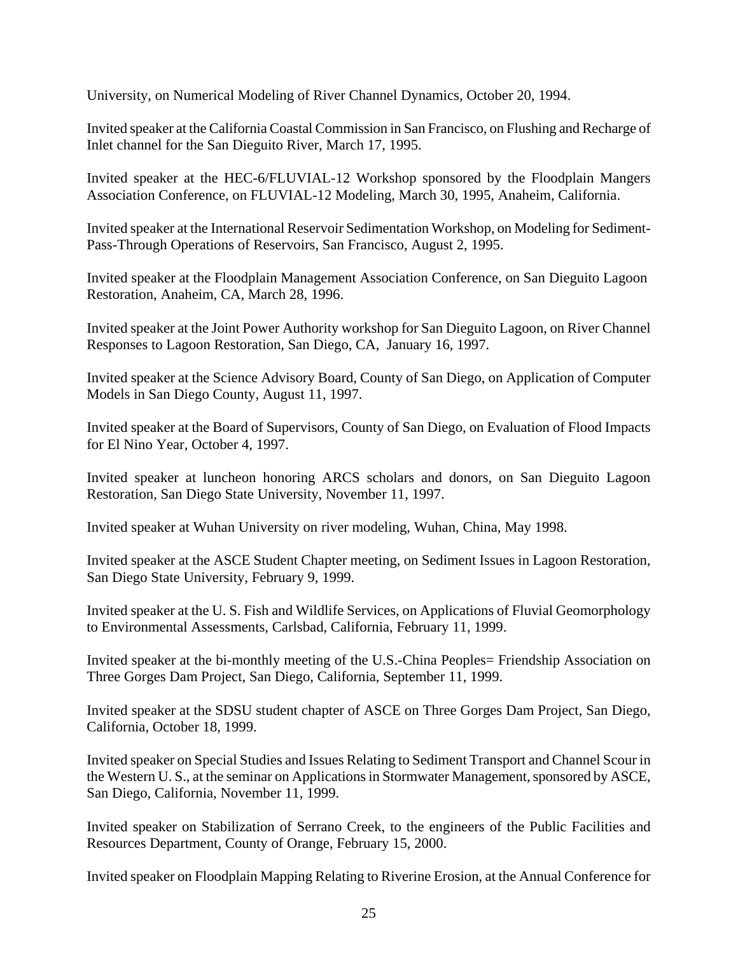University, on Numerical Modeling of River Channel Dynamics, October 20, 1994.

Invited speaker at the California Coastal Commission in San Francisco, on Flushing and Recharge of Inlet channel for the San Dieguito River, March 17, 1995.

Invited speaker at the HEC-6/FLUVIAL-12 Workshop sponsored by the Floodplain Mangers Association Conference, on FLUVIAL-12 Modeling, March 30, 1995, Anaheim, California.

Invited speaker at the International Reservoir Sedimentation Workshop, on Modeling for Sediment-Pass-Through Operations of Reservoirs, San Francisco, August 2, 1995.

Invited speaker at the Floodplain Management Association Conference, on San Dieguito Lagoon Restoration, Anaheim, CA, March 28, 1996.

Invited speaker at the Joint Power Authority workshop for San Dieguito Lagoon, on River Channel Responses to Lagoon Restoration, San Diego, CA, January 16, 1997.

Invited speaker at the Science Advisory Board, County of San Diego, on Application of Computer Models in San Diego County, August 11, 1997.

Invited speaker at the Board of Supervisors, County of San Diego, on Evaluation of Flood Impacts for El Nino Year, October 4, 1997.

Invited speaker at luncheon honoring ARCS scholars and donors, on San Dieguito Lagoon Restoration, San Diego State University, November 11, 1997.

Invited speaker at Wuhan University on river modeling, Wuhan, China, May 1998.

Invited speaker at the ASCE Student Chapter meeting, on Sediment Issues in Lagoon Restoration, San Diego State University, February 9, 1999.

Invited speaker at the U. S. Fish and Wildlife Services, on Applications of Fluvial Geomorphology to Environmental Assessments, Carlsbad, California, February 11, 1999.

Invited speaker at the bi-monthly meeting of the U.S.-China Peoples= Friendship Association on Three Gorges Dam Project, San Diego, California, September 11, 1999.

Invited speaker at the SDSU student chapter of ASCE on Three Gorges Dam Project, San Diego, California, October 18, 1999.

Invited speaker on Special Studies and Issues Relating to Sediment Transport and Channel Scour in the Western U. S., at the seminar on Applications in Stormwater Management, sponsored by ASCE, San Diego, California, November 11, 1999.

Invited speaker on Stabilization of Serrano Creek, to the engineers of the Public Facilities and Resources Department, County of Orange, February 15, 2000.

Invited speaker on Floodplain Mapping Relating to Riverine Erosion, at the Annual Conference for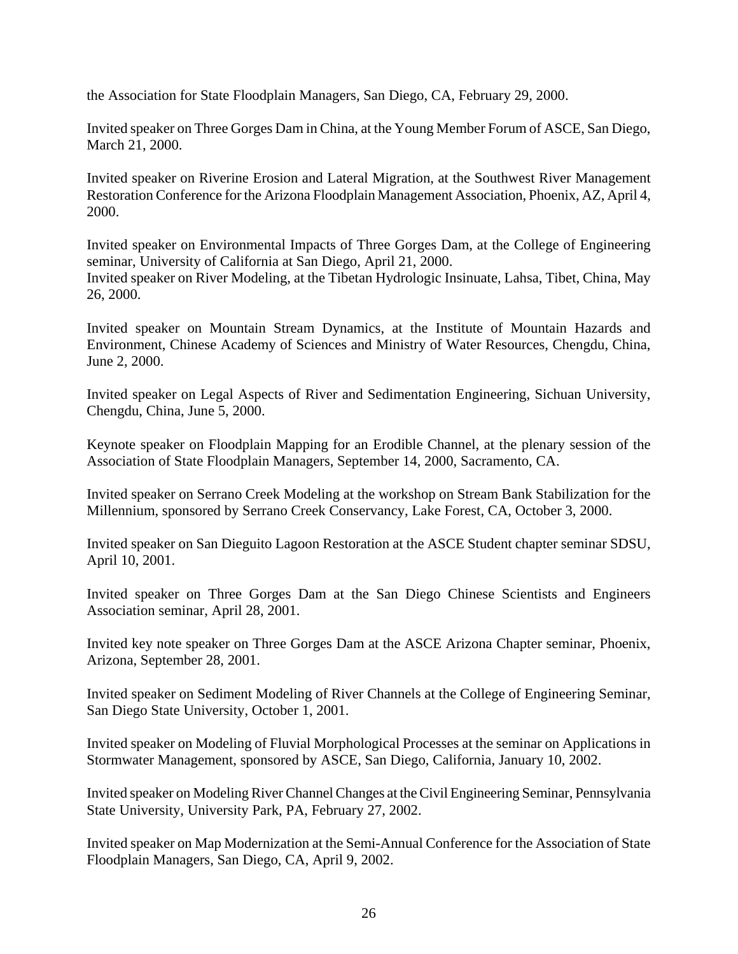the Association for State Floodplain Managers, San Diego, CA, February 29, 2000.

Invited speaker on Three Gorges Dam in China, at the Young Member Forum of ASCE, San Diego, March 21, 2000.

Invited speaker on Riverine Erosion and Lateral Migration, at the Southwest River Management Restoration Conference for the Arizona Floodplain Management Association, Phoenix, AZ, April 4, 2000.

Invited speaker on Environmental Impacts of Three Gorges Dam, at the College of Engineering seminar, University of California at San Diego, April 21, 2000. Invited speaker on River Modeling, at the Tibetan Hydrologic Insinuate, Lahsa, Tibet, China, May 26, 2000.

Invited speaker on Mountain Stream Dynamics, at the Institute of Mountain Hazards and Environment, Chinese Academy of Sciences and Ministry of Water Resources, Chengdu, China, June 2, 2000.

Invited speaker on Legal Aspects of River and Sedimentation Engineering, Sichuan University, Chengdu, China, June 5, 2000.

Keynote speaker on Floodplain Mapping for an Erodible Channel, at the plenary session of the Association of State Floodplain Managers, September 14, 2000, Sacramento, CA.

Invited speaker on Serrano Creek Modeling at the workshop on Stream Bank Stabilization for the Millennium, sponsored by Serrano Creek Conservancy, Lake Forest, CA, October 3, 2000.

Invited speaker on San Dieguito Lagoon Restoration at the ASCE Student chapter seminar SDSU, April 10, 2001.

Invited speaker on Three Gorges Dam at the San Diego Chinese Scientists and Engineers Association seminar, April 28, 2001.

Invited key note speaker on Three Gorges Dam at the ASCE Arizona Chapter seminar, Phoenix, Arizona, September 28, 2001.

Invited speaker on Sediment Modeling of River Channels at the College of Engineering Seminar, San Diego State University, October 1, 2001.

Invited speaker on Modeling of Fluvial Morphological Processes at the seminar on Applications in Stormwater Management, sponsored by ASCE, San Diego, California, January 10, 2002.

Invited speaker on Modeling River Channel Changes at the Civil Engineering Seminar, Pennsylvania State University, University Park, PA, February 27, 2002.

Invited speaker on Map Modernization at the Semi-Annual Conference for the Association of State Floodplain Managers, San Diego, CA, April 9, 2002.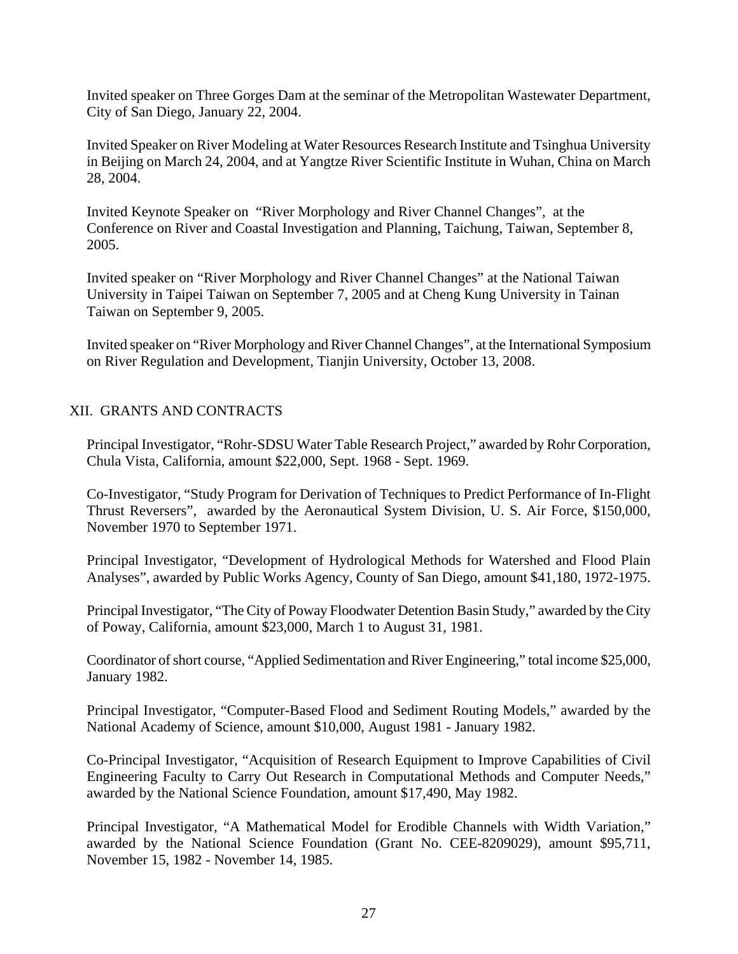Invited speaker on Three Gorges Dam at the seminar of the Metropolitan Wastewater Department, City of San Diego, January 22, 2004.

Invited Speaker on River Modeling at Water Resources Research Institute and Tsinghua University in Beijing on March 24, 2004, and at Yangtze River Scientific Institute in Wuhan, China on March 28, 2004.

Invited Keynote Speaker on "River Morphology and River Channel Changes", at the Conference on River and Coastal Investigation and Planning, Taichung, Taiwan, September 8, 2005.

Invited speaker on "River Morphology and River Channel Changes" at the National Taiwan University in Taipei Taiwan on September 7, 2005 and at Cheng Kung University in Tainan Taiwan on September 9, 2005.

Invited speaker on "River Morphology and River Channel Changes", at the International Symposium on River Regulation and Development, Tianjin University, October 13, 2008.

# XII. GRANTS AND CONTRACTS

Principal Investigator, "Rohr-SDSU Water Table Research Project," awarded by Rohr Corporation, Chula Vista, California, amount \$22,000, Sept. 1968 - Sept. 1969.

Co-Investigator, "Study Program for Derivation of Techniques to Predict Performance of In-Flight Thrust Reversers", awarded by the Aeronautical System Division, U. S. Air Force, \$150,000, November 1970 to September 1971.

Principal Investigator, "Development of Hydrological Methods for Watershed and Flood Plain Analyses", awarded by Public Works Agency, County of San Diego, amount \$41,180, 1972-1975.

Principal Investigator, "The City of Poway Floodwater Detention Basin Study," awarded by the City of Poway, California, amount \$23,000, March 1 to August 31, 1981.

Coordinator of short course, "Applied Sedimentation and River Engineering," total income \$25,000, January 1982.

Principal Investigator, "Computer-Based Flood and Sediment Routing Models," awarded by the National Academy of Science, amount \$10,000, August 1981 - January 1982.

Co-Principal Investigator, "Acquisition of Research Equipment to Improve Capabilities of Civil Engineering Faculty to Carry Out Research in Computational Methods and Computer Needs," awarded by the National Science Foundation, amount \$17,490, May 1982.

Principal Investigator, "A Mathematical Model for Erodible Channels with Width Variation," awarded by the National Science Foundation (Grant No. CEE-8209029), amount \$95,711, November 15, 1982 - November 14, 1985.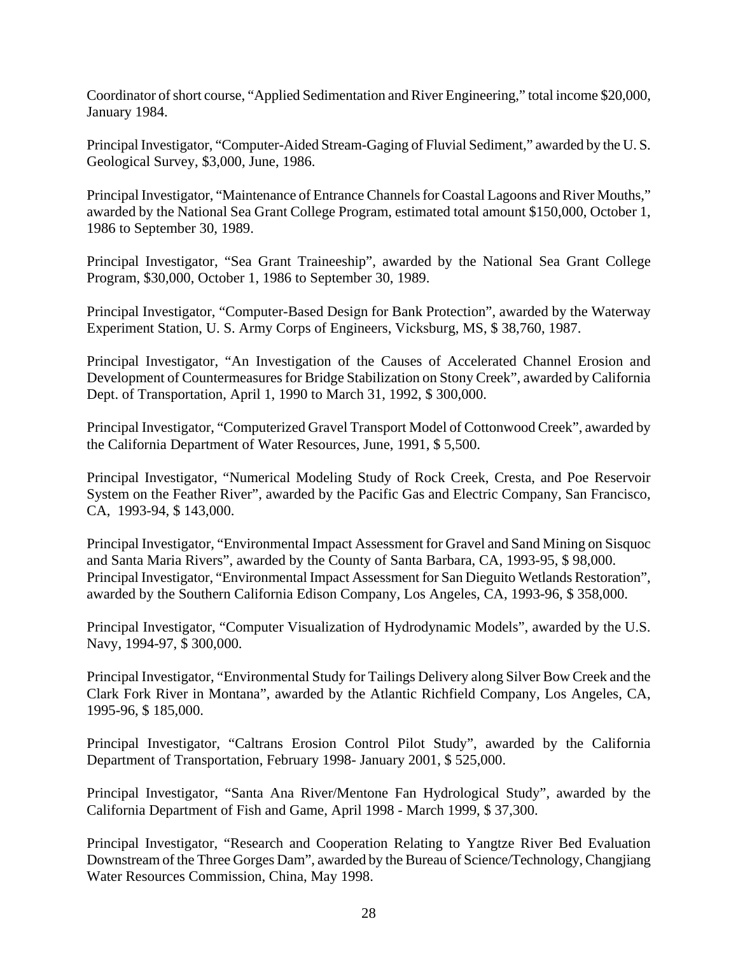Coordinator of short course, "Applied Sedimentation and River Engineering," total income \$20,000, January 1984.

Principal Investigator, "Computer-Aided Stream-Gaging of Fluvial Sediment," awarded by the U. S. Geological Survey, \$3,000, June, 1986.

Principal Investigator, "Maintenance of Entrance Channels for Coastal Lagoons and River Mouths," awarded by the National Sea Grant College Program, estimated total amount \$150,000, October 1, 1986 to September 30, 1989.

Principal Investigator, "Sea Grant Traineeship", awarded by the National Sea Grant College Program, \$30,000, October 1, 1986 to September 30, 1989.

Principal Investigator, "Computer-Based Design for Bank Protection", awarded by the Waterway Experiment Station, U. S. Army Corps of Engineers, Vicksburg, MS, \$ 38,760, 1987.

Principal Investigator, "An Investigation of the Causes of Accelerated Channel Erosion and Development of Countermeasures for Bridge Stabilization on Stony Creek", awarded by California Dept. of Transportation, April 1, 1990 to March 31, 1992, \$ 300,000.

Principal Investigator, "Computerized Gravel Transport Model of Cottonwood Creek", awarded by the California Department of Water Resources, June, 1991, \$ 5,500.

Principal Investigator, "Numerical Modeling Study of Rock Creek, Cresta, and Poe Reservoir System on the Feather River", awarded by the Pacific Gas and Electric Company, San Francisco, CA, 1993-94, \$ 143,000.

Principal Investigator, "Environmental Impact Assessment for Gravel and Sand Mining on Sisquoc and Santa Maria Rivers", awarded by the County of Santa Barbara, CA, 1993-95, \$ 98,000. Principal Investigator, "Environmental Impact Assessment for San Dieguito Wetlands Restoration", awarded by the Southern California Edison Company, Los Angeles, CA, 1993-96, \$ 358,000.

Principal Investigator, "Computer Visualization of Hydrodynamic Models", awarded by the U.S. Navy, 1994-97, \$ 300,000.

Principal Investigator, "Environmental Study for Tailings Delivery along Silver Bow Creek and the Clark Fork River in Montana", awarded by the Atlantic Richfield Company, Los Angeles, CA, 1995-96, \$ 185,000.

Principal Investigator, "Caltrans Erosion Control Pilot Study", awarded by the California Department of Transportation, February 1998- January 2001, \$ 525,000.

Principal Investigator, "Santa Ana River/Mentone Fan Hydrological Study", awarded by the California Department of Fish and Game, April 1998 - March 1999, \$ 37,300.

Principal Investigator, "Research and Cooperation Relating to Yangtze River Bed Evaluation Downstream of the Three Gorges Dam", awarded by the Bureau of Science/Technology, Changjiang Water Resources Commission, China, May 1998.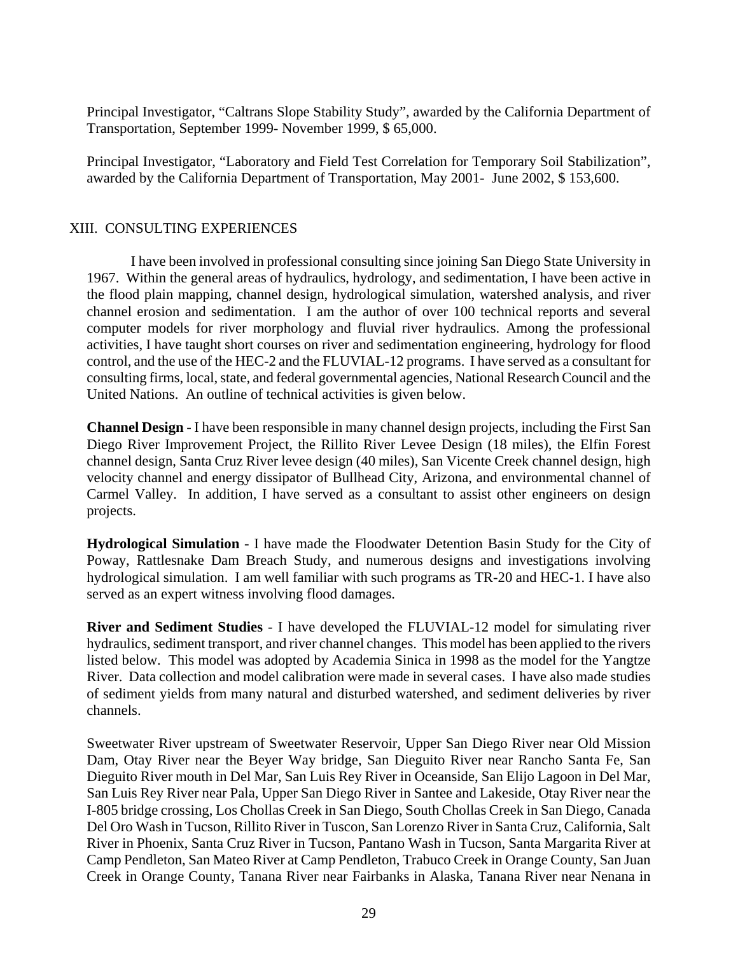Principal Investigator, "Caltrans Slope Stability Study", awarded by the California Department of Transportation, September 1999- November 1999, \$ 65,000.

Principal Investigator, "Laboratory and Field Test Correlation for Temporary Soil Stabilization", awarded by the California Department of Transportation, May 2001- June 2002, \$ 153,600.

# XIII. CONSULTING EXPERIENCES

 I have been involved in professional consulting since joining San Diego State University in 1967. Within the general areas of hydraulics, hydrology, and sedimentation, I have been active in the flood plain mapping, channel design, hydrological simulation, watershed analysis, and river channel erosion and sedimentation. I am the author of over 100 technical reports and several computer models for river morphology and fluvial river hydraulics. Among the professional activities, I have taught short courses on river and sedimentation engineering, hydrology for flood control, and the use of the HEC-2 and the FLUVIAL-12 programs. I have served as a consultant for consulting firms, local, state, and federal governmental agencies, National Research Council and the United Nations. An outline of technical activities is given below.

**Channel Design** - I have been responsible in many channel design projects, including the First San Diego River Improvement Project, the Rillito River Levee Design (18 miles), the Elfin Forest channel design, Santa Cruz River levee design (40 miles), San Vicente Creek channel design, high velocity channel and energy dissipator of Bullhead City, Arizona, and environmental channel of Carmel Valley. In addition, I have served as a consultant to assist other engineers on design projects.

**Hydrological Simulation** - I have made the Floodwater Detention Basin Study for the City of Poway, Rattlesnake Dam Breach Study, and numerous designs and investigations involving hydrological simulation. I am well familiar with such programs as TR-20 and HEC-1. I have also served as an expert witness involving flood damages.

**River and Sediment Studies** - I have developed the FLUVIAL-12 model for simulating river hydraulics, sediment transport, and river channel changes. This model has been applied to the rivers listed below. This model was adopted by Academia Sinica in 1998 as the model for the Yangtze River. Data collection and model calibration were made in several cases. I have also made studies of sediment yields from many natural and disturbed watershed, and sediment deliveries by river channels.

Sweetwater River upstream of Sweetwater Reservoir, Upper San Diego River near Old Mission Dam, Otay River near the Beyer Way bridge, San Dieguito River near Rancho Santa Fe, San Dieguito River mouth in Del Mar, San Luis Rey River in Oceanside, San Elijo Lagoon in Del Mar, San Luis Rey River near Pala, Upper San Diego River in Santee and Lakeside, Otay River near the I-805 bridge crossing, Los Chollas Creek in San Diego, South Chollas Creek in San Diego, Canada Del Oro Wash in Tucson, Rillito River in Tuscon, San Lorenzo River in Santa Cruz, California, Salt River in Phoenix, Santa Cruz River in Tucson, Pantano Wash in Tucson, Santa Margarita River at Camp Pendleton, San Mateo River at Camp Pendleton, Trabuco Creek in Orange County, San Juan Creek in Orange County, Tanana River near Fairbanks in Alaska, Tanana River near Nenana in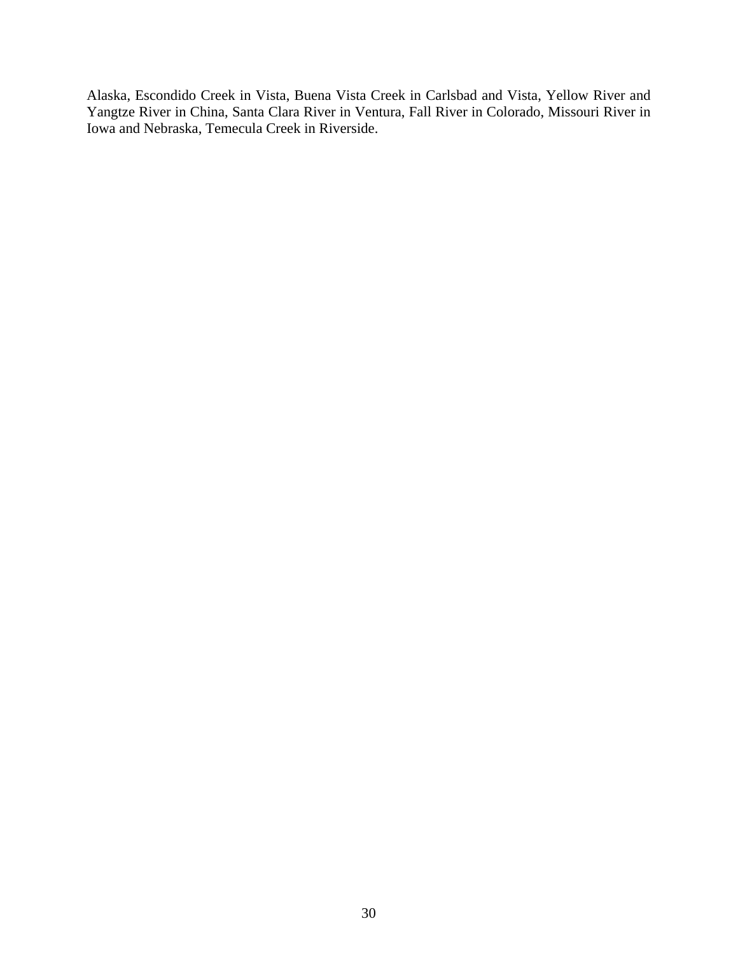Alaska, Escondido Creek in Vista, Buena Vista Creek in Carlsbad and Vista, Yellow River and Yangtze River in China, Santa Clara River in Ventura, Fall River in Colorado, Missouri River in Iowa and Nebraska, Temecula Creek in Riverside.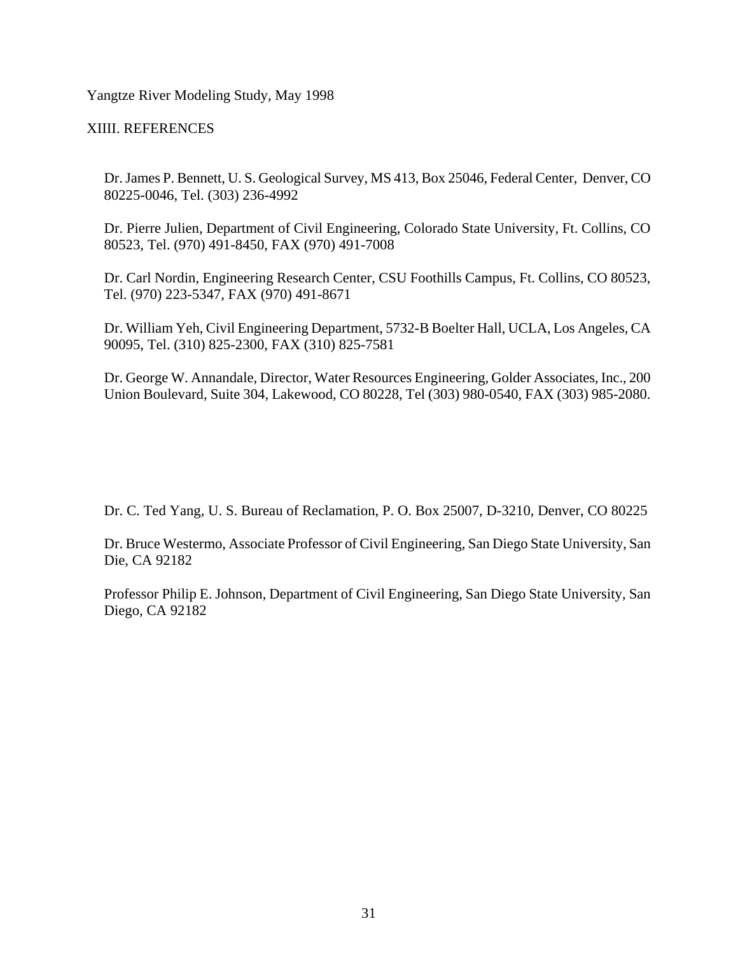Yangtze River Modeling Study, May 1998

XIIII. REFERENCES

Dr. James P. Bennett, U. S. Geological Survey, MS 413, Box 25046, Federal Center, Denver, CO 80225-0046, Tel. (303) 236-4992

Dr. Pierre Julien, Department of Civil Engineering, Colorado State University, Ft. Collins, CO 80523, Tel. (970) 491-8450, FAX (970) 491-7008

Dr. Carl Nordin, Engineering Research Center, CSU Foothills Campus, Ft. Collins, CO 80523, Tel. (970) 223-5347, FAX (970) 491-8671

Dr. William Yeh, Civil Engineering Department, 5732-B Boelter Hall, UCLA, Los Angeles, CA 90095, Tel. (310) 825-2300, FAX (310) 825-7581

Dr. George W. Annandale, Director, Water Resources Engineering, Golder Associates, Inc., 200 Union Boulevard, Suite 304, Lakewood, CO 80228, Tel (303) 980-0540, FAX (303) 985-2080.

Dr. C. Ted Yang, U. S. Bureau of Reclamation, P. O. Box 25007, D-3210, Denver, CO 80225

Dr. Bruce Westermo, Associate Professor of Civil Engineering, San Diego State University, San Die, CA 92182

Professor Philip E. Johnson, Department of Civil Engineering, San Diego State University, San Diego, CA 92182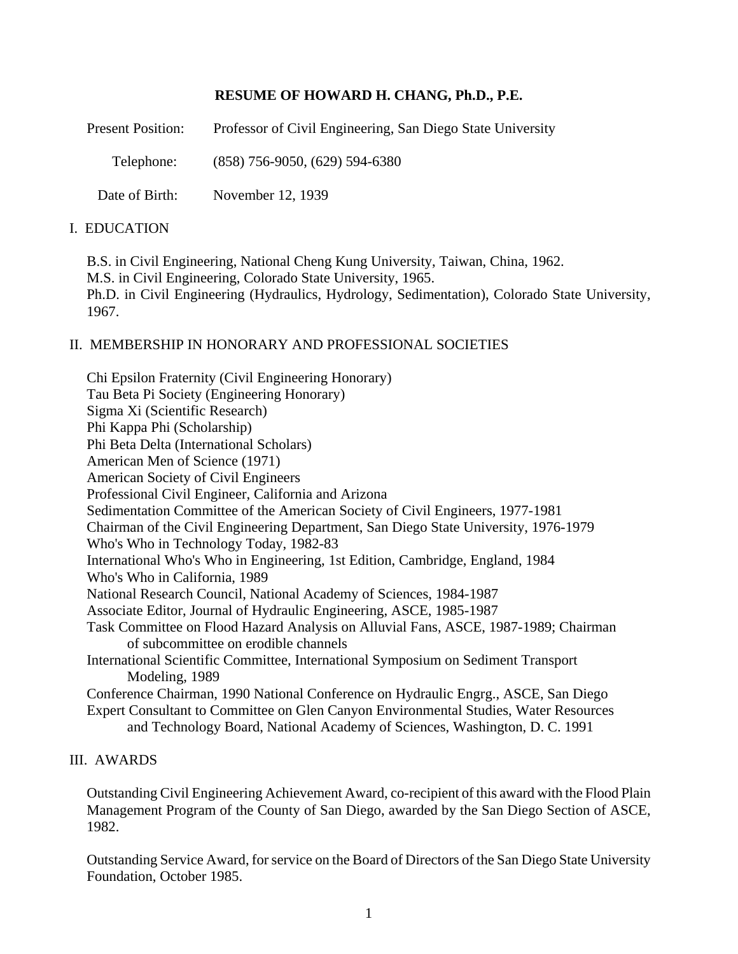# **RESUME OF HOWARD H. CHANG, Ph.D., P.E.**

| <b>Present Position:</b> | Professor of Civil Engineering, San Diego State University |
|--------------------------|------------------------------------------------------------|
| Telephone:               | $(858)$ 756-9050, $(629)$ 594-6380                         |
| Date of Birth:           | November 12, 1939                                          |

# I. EDUCATION

B.S. in Civil Engineering, National Cheng Kung University, Taiwan, China, 1962. M.S. in Civil Engineering, Colorado State University, 1965. Ph.D. in Civil Engineering (Hydraulics, Hydrology, Sedimentation), Colorado State University, 1967.

## II. MEMBERSHIP IN HONORARY AND PROFESSIONAL SOCIETIES

Chi Epsilon Fraternity (Civil Engineering Honorary) Tau Beta Pi Society (Engineering Honorary) Sigma Xi (Scientific Research) Phi Kappa Phi (Scholarship) Phi Beta Delta (International Scholars) American Men of Science (1971) American Society of Civil Engineers Professional Civil Engineer, California and Arizona Sedimentation Committee of the American Society of Civil Engineers, 1977-1981 Chairman of the Civil Engineering Department, San Diego State University, 1976-1979 Who's Who in Technology Today, 1982-83 International Who's Who in Engineering, 1st Edition, Cambridge, England, 1984 Who's Who in California, 1989 National Research Council, National Academy of Sciences, 1984-1987 Associate Editor, Journal of Hydraulic Engineering, ASCE, 1985-1987 Task Committee on Flood Hazard Analysis on Alluvial Fans, ASCE, 1987-1989; Chairman of subcommittee on erodible channels International Scientific Committee, International Symposium on Sediment Transport Modeling, 1989 Conference Chairman, 1990 National Conference on Hydraulic Engrg., ASCE, San Diego Expert Consultant to Committee on Glen Canyon Environmental Studies, Water Resources and Technology Board, National Academy of Sciences, Washington, D. C. 1991

### III. AWARDS

Outstanding Civil Engineering Achievement Award, co-recipient of this award with the Flood Plain Management Program of the County of San Diego, awarded by the San Diego Section of ASCE, 1982.

Outstanding Service Award, for service on the Board of Directors of the San Diego State University Foundation, October 1985.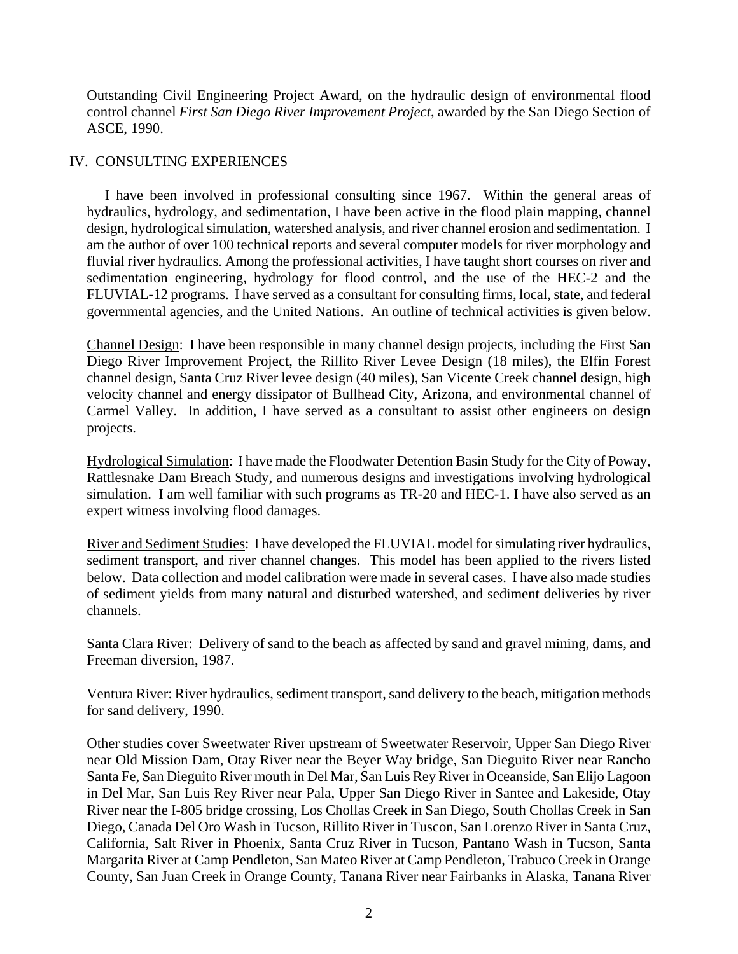Outstanding Civil Engineering Project Award, on the hydraulic design of environmental flood control channel *First San Diego River Improvement Project*, awarded by the San Diego Section of ASCE, 1990.

## IV. CONSULTING EXPERIENCES

 I have been involved in professional consulting since 1967. Within the general areas of hydraulics, hydrology, and sedimentation, I have been active in the flood plain mapping, channel design, hydrological simulation, watershed analysis, and river channel erosion and sedimentation. I am the author of over 100 technical reports and several computer models for river morphology and fluvial river hydraulics. Among the professional activities, I have taught short courses on river and sedimentation engineering, hydrology for flood control, and the use of the HEC-2 and the FLUVIAL-12 programs. I have served as a consultant for consulting firms, local, state, and federal governmental agencies, and the United Nations. An outline of technical activities is given below.

Channel Design: I have been responsible in many channel design projects, including the First San Diego River Improvement Project, the Rillito River Levee Design (18 miles), the Elfin Forest channel design, Santa Cruz River levee design (40 miles), San Vicente Creek channel design, high velocity channel and energy dissipator of Bullhead City, Arizona, and environmental channel of Carmel Valley. In addition, I have served as a consultant to assist other engineers on design projects.

Hydrological Simulation: I have made the Floodwater Detention Basin Study for the City of Poway, Rattlesnake Dam Breach Study, and numerous designs and investigations involving hydrological simulation. I am well familiar with such programs as TR-20 and HEC-1. I have also served as an expert witness involving flood damages.

River and Sediment Studies: I have developed the FLUVIAL model for simulating river hydraulics, sediment transport, and river channel changes. This model has been applied to the rivers listed below. Data collection and model calibration were made in several cases. I have also made studies of sediment yields from many natural and disturbed watershed, and sediment deliveries by river channels.

Santa Clara River: Delivery of sand to the beach as affected by sand and gravel mining, dams, and Freeman diversion, 1987.

Ventura River: River hydraulics, sediment transport, sand delivery to the beach, mitigation methods for sand delivery, 1990.

Other studies cover Sweetwater River upstream of Sweetwater Reservoir, Upper San Diego River near Old Mission Dam, Otay River near the Beyer Way bridge, San Dieguito River near Rancho Santa Fe, San Dieguito River mouth in Del Mar, San Luis Rey River in Oceanside, San Elijo Lagoon in Del Mar, San Luis Rey River near Pala, Upper San Diego River in Santee and Lakeside, Otay River near the I-805 bridge crossing, Los Chollas Creek in San Diego, South Chollas Creek in San Diego, Canada Del Oro Wash in Tucson, Rillito River in Tuscon, San Lorenzo River in Santa Cruz, California, Salt River in Phoenix, Santa Cruz River in Tucson, Pantano Wash in Tucson, Santa Margarita River at Camp Pendleton, San Mateo River at Camp Pendleton, Trabuco Creek in Orange County, San Juan Creek in Orange County, Tanana River near Fairbanks in Alaska, Tanana River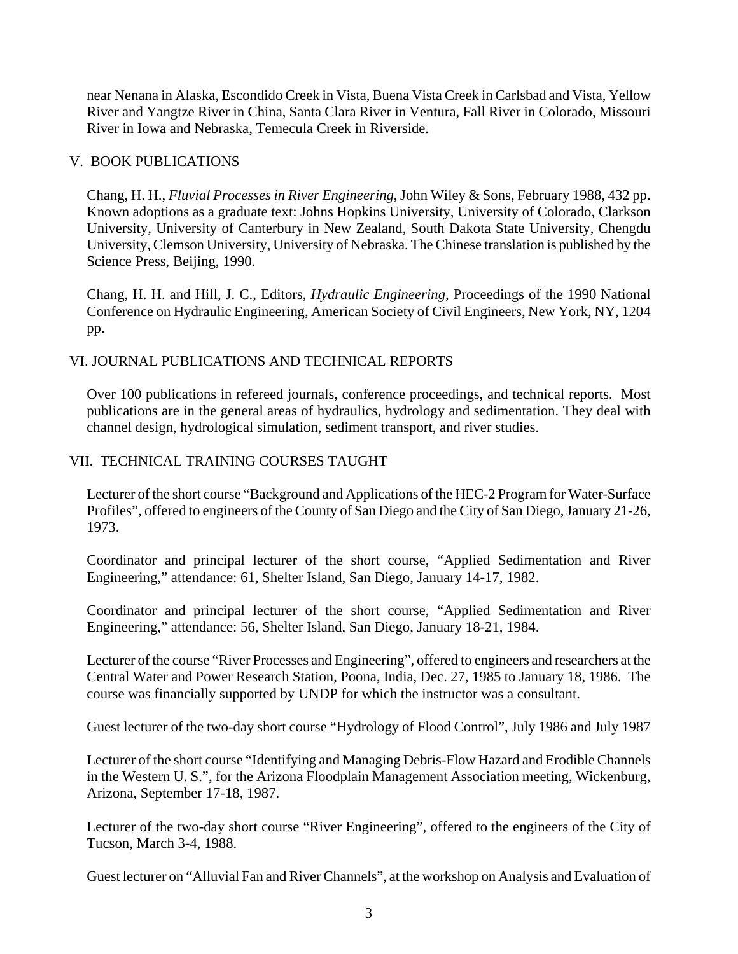near Nenana in Alaska, Escondido Creek in Vista, Buena Vista Creek in Carlsbad and Vista, Yellow River and Yangtze River in China, Santa Clara River in Ventura, Fall River in Colorado, Missouri River in Iowa and Nebraska, Temecula Creek in Riverside.

## V. BOOK PUBLICATIONS

Chang, H. H., *Fluvial Processes in River Engineering*, John Wiley & Sons, February 1988, 432 pp. Known adoptions as a graduate text: Johns Hopkins University, University of Colorado, Clarkson University, University of Canterbury in New Zealand, South Dakota State University, Chengdu University, Clemson University, University of Nebraska. The Chinese translation is published by the Science Press, Beijing, 1990.

Chang, H. H. and Hill, J. C., Editors, *Hydraulic Engineering*, Proceedings of the 1990 National Conference on Hydraulic Engineering, American Society of Civil Engineers, New York, NY, 1204 pp.

## VI. JOURNAL PUBLICATIONS AND TECHNICAL REPORTS

Over 100 publications in refereed journals, conference proceedings, and technical reports. Most publications are in the general areas of hydraulics, hydrology and sedimentation. They deal with channel design, hydrological simulation, sediment transport, and river studies.

## VII. TECHNICAL TRAINING COURSES TAUGHT

Lecturer of the short course "Background and Applications of the HEC-2 Program for Water-Surface Profiles", offered to engineers of the County of San Diego and the City of San Diego, January 21-26, 1973.

Coordinator and principal lecturer of the short course, "Applied Sedimentation and River Engineering," attendance: 61, Shelter Island, San Diego, January 14-17, 1982.

Coordinator and principal lecturer of the short course, "Applied Sedimentation and River Engineering," attendance: 56, Shelter Island, San Diego, January 18-21, 1984.

Lecturer of the course "River Processes and Engineering", offered to engineers and researchers at the Central Water and Power Research Station, Poona, India, Dec. 27, 1985 to January 18, 1986. The course was financially supported by UNDP for which the instructor was a consultant.

Guest lecturer of the two-day short course "Hydrology of Flood Control", July 1986 and July 1987

Lecturer of the short course "Identifying and Managing Debris-Flow Hazard and Erodible Channels in the Western U. S.", for the Arizona Floodplain Management Association meeting, Wickenburg, Arizona, September 17-18, 1987.

Lecturer of the two-day short course "River Engineering", offered to the engineers of the City of Tucson, March 3-4, 1988.

Guest lecturer on "Alluvial Fan and River Channels", at the workshop on Analysis and Evaluation of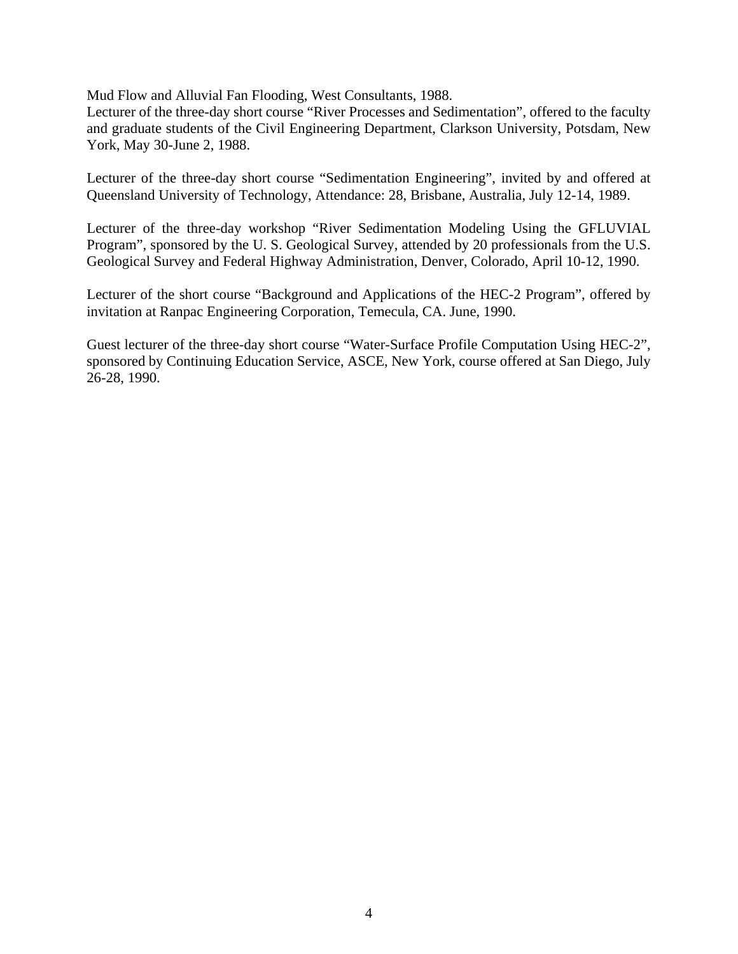Mud Flow and Alluvial Fan Flooding, West Consultants, 1988.

Lecturer of the three-day short course "River Processes and Sedimentation", offered to the faculty and graduate students of the Civil Engineering Department, Clarkson University, Potsdam, New York, May 30-June 2, 1988.

Lecturer of the three-day short course "Sedimentation Engineering", invited by and offered at Queensland University of Technology, Attendance: 28, Brisbane, Australia, July 12-14, 1989.

Lecturer of the three-day workshop "River Sedimentation Modeling Using the GFLUVIAL Program", sponsored by the U. S. Geological Survey, attended by 20 professionals from the U.S. Geological Survey and Federal Highway Administration, Denver, Colorado, April 10-12, 1990.

Lecturer of the short course "Background and Applications of the HEC-2 Program", offered by invitation at Ranpac Engineering Corporation, Temecula, CA. June, 1990.

Guest lecturer of the three-day short course "Water-Surface Profile Computation Using HEC-2", sponsored by Continuing Education Service, ASCE, New York, course offered at San Diego, July 26-28, 1990.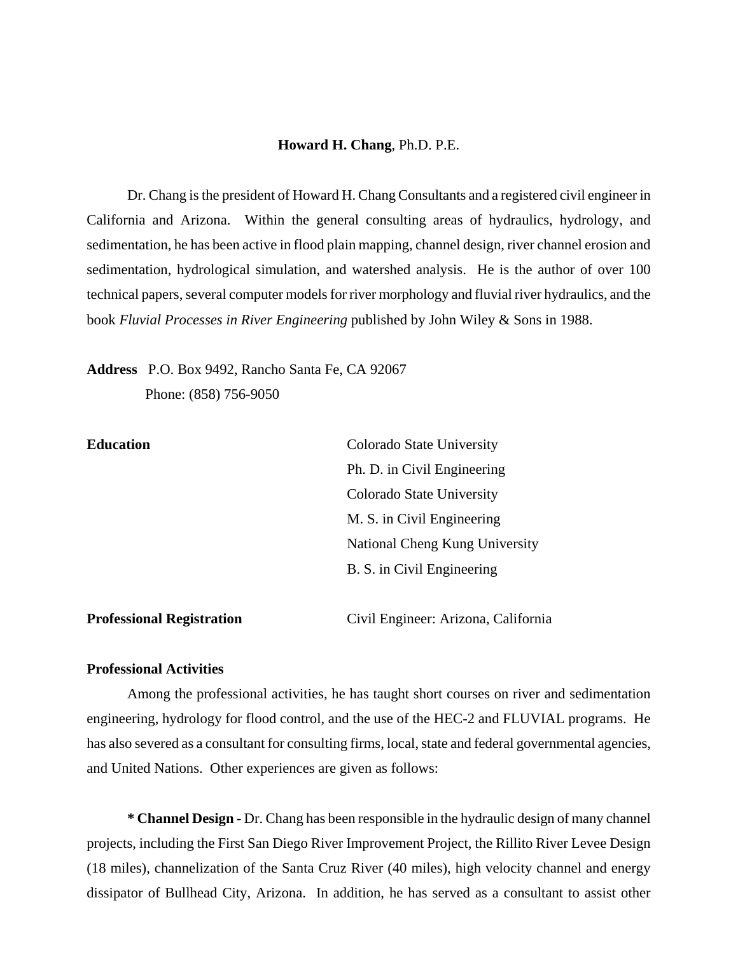#### **Howard H. Chang**, Ph.D. P.E.

Dr. Chang is the president of Howard H. Chang Consultants and a registered civil engineer in California and Arizona. Within the general consulting areas of hydraulics, hydrology, and sedimentation, he has been active in flood plain mapping, channel design, river channel erosion and sedimentation, hydrological simulation, and watershed analysis. He is the author of over 100 technical papers, several computer models for river morphology and fluvial river hydraulics, and the book *Fluvial Processes in River Engineering* published by John Wiley & Sons in 1988.

**Address** P.O. Box 9492, Rancho Santa Fe, CA 92067

Phone: (858) 756-9050

| <b>Education</b>                 | Colorado State University           |
|----------------------------------|-------------------------------------|
|                                  | Ph. D. in Civil Engineering         |
|                                  | Colorado State University           |
|                                  | M. S. in Civil Engineering          |
|                                  | National Cheng Kung University      |
|                                  | B. S. in Civil Engineering          |
|                                  |                                     |
| <b>Professional Registration</b> | Civil Engineer: Arizona, California |

### **Professional Activities**

Among the professional activities, he has taught short courses on river and sedimentation engineering, hydrology for flood control, and the use of the HEC-2 and FLUVIAL programs. He has also severed as a consultant for consulting firms, local, state and federal governmental agencies, and United Nations. Other experiences are given as follows:

**\* Channel Design** - Dr. Chang has been responsible in the hydraulic design of many channel projects, including the First San Diego River Improvement Project, the Rillito River Levee Design (18 miles), channelization of the Santa Cruz River (40 miles), high velocity channel and energy dissipator of Bullhead City, Arizona. In addition, he has served as a consultant to assist other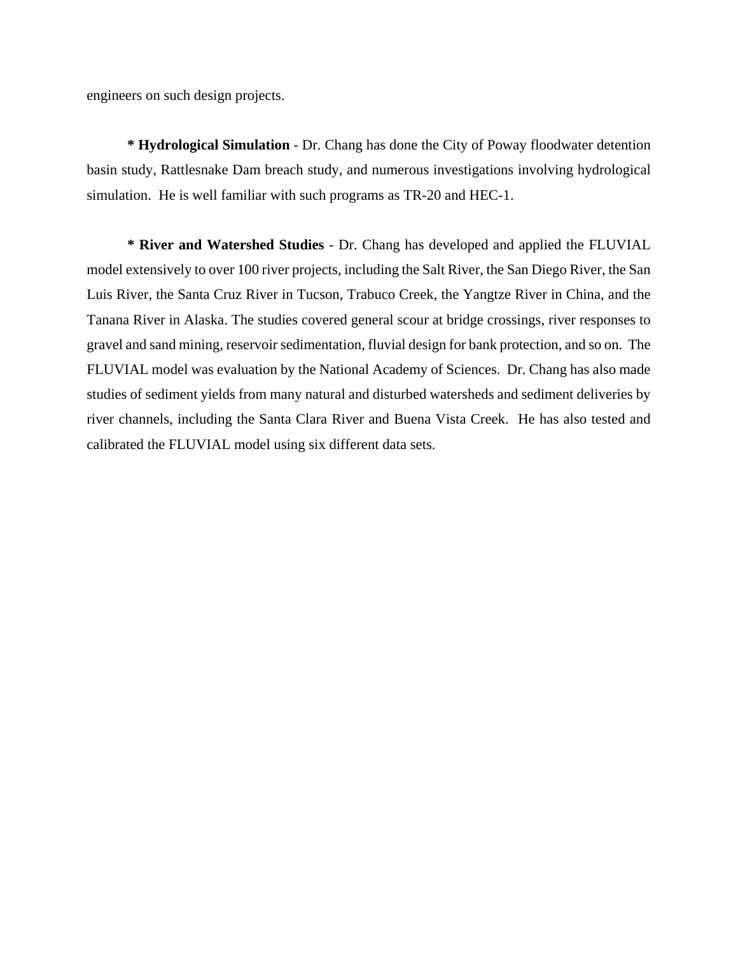engineers on such design projects.

**\* Hydrological Simulation** - Dr. Chang has done the City of Poway floodwater detention basin study, Rattlesnake Dam breach study, and numerous investigations involving hydrological simulation. He is well familiar with such programs as TR-20 and HEC-1.

**\* River and Watershed Studies** - Dr. Chang has developed and applied the FLUVIAL model extensively to over 100 river projects, including the Salt River, the San Diego River, the San Luis River, the Santa Cruz River in Tucson, Trabuco Creek, the Yangtze River in China, and the Tanana River in Alaska. The studies covered general scour at bridge crossings, river responses to gravel and sand mining, reservoir sedimentation, fluvial design for bank protection, and so on. The FLUVIAL model was evaluation by the National Academy of Sciences. Dr. Chang has also made studies of sediment yields from many natural and disturbed watersheds and sediment deliveries by river channels, including the Santa Clara River and Buena Vista Creek. He has also tested and calibrated the FLUVIAL model using six different data sets.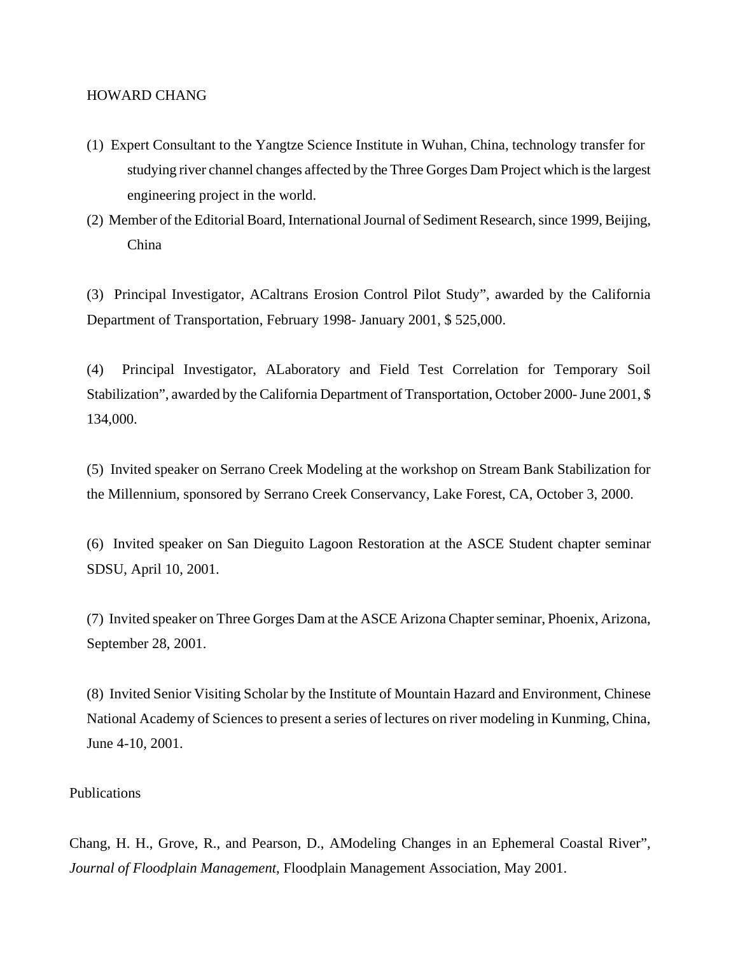#### HOWARD CHANG

- (1) Expert Consultant to the Yangtze Science Institute in Wuhan, China, technology transfer for studying river channel changes affected by the Three Gorges Dam Project which is the largest engineering project in the world.
- (2) Member of the Editorial Board, International Journal of Sediment Research, since 1999, Beijing, China

(3) Principal Investigator, ACaltrans Erosion Control Pilot Study", awarded by the California Department of Transportation, February 1998- January 2001, \$ 525,000.

(4) Principal Investigator, ALaboratory and Field Test Correlation for Temporary Soil Stabilization", awarded by the California Department of Transportation, October 2000- June 2001, \$ 134,000.

(5) Invited speaker on Serrano Creek Modeling at the workshop on Stream Bank Stabilization for the Millennium, sponsored by Serrano Creek Conservancy, Lake Forest, CA, October 3, 2000.

(6) Invited speaker on San Dieguito Lagoon Restoration at the ASCE Student chapter seminar SDSU, April 10, 2001.

(7) Invited speaker on Three Gorges Dam at the ASCE Arizona Chapter seminar, Phoenix, Arizona, September 28, 2001.

(8) Invited Senior Visiting Scholar by the Institute of Mountain Hazard and Environment, Chinese National Academy of Sciences to present a series of lectures on river modeling in Kunming, China, June 4-10, 2001.

#### Publications

Chang, H. H., Grove, R., and Pearson, D., AModeling Changes in an Ephemeral Coastal River", *Journal of Floodplain Management*, Floodplain Management Association, May 2001.